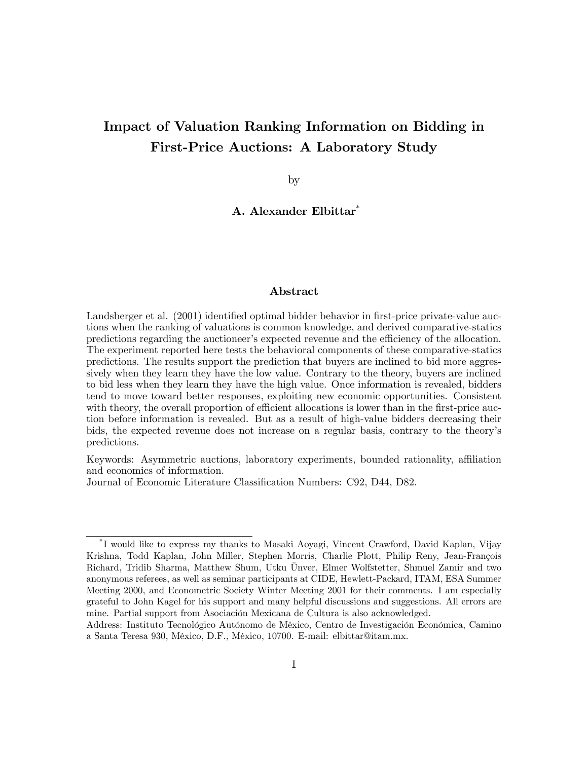# Impact of Valuation Ranking Information on Bidding in First-Price Auctions: A Laboratory Study

by

A. Alexander Elbittar\*

#### Abstract

Landsberger et al. (2001) identified optimal bidder behavior in first-price private-value auctions when the ranking of valuations is common knowledge, and derived comparative-statics predictions regarding the auctioneer's expected revenue and the efficiency of the allocation. The experiment reported here tests the behavioral components of these comparative-statics predictions. The results support the prediction that buyers are inclined to bid more aggressively when they learn they have the low value. Contrary to the theory, buyers are inclined to bid less when they learn they have the high value. Once information is revealed, bidders tend to move toward better responses, exploiting new economic opportunities. Consistent with theory, the overall proportion of efficient allocations is lower than in the first-price auction before information is revealed. But as a result of high-value bidders decreasing their bids, the expected revenue does not increase on a regular basis, contrary to the theoryís predictions.

Keywords: Asymmetric auctions, laboratory experiments, bounded rationality, affiliation and economics of information.

Journal of Economic Literature Classification Numbers: C92, D44, D82.

<sup>\*</sup> I would like to express my thanks to Masaki Aoyagi, Vincent Crawford, David Kaplan, Vijay Krishna, Todd Kaplan, John Miller, Stephen Morris, Charlie Plott, Philip Reny, Jean-François Richard, Tridib Sharma, Matthew Shum, Utku Unver, Elmer Wolfstetter, Shmuel Zamir and two anonymous referees, as well as seminar participants at CIDE, Hewlett-Packard, ITAM, ESA Summer Meeting 2000, and Econometric Society Winter Meeting 2001 for their comments. I am especially grateful to John Kagel for his support and many helpful discussions and suggestions. All errors are mine. Partial support from Asociación Mexicana de Cultura is also acknowledged.

Address: Instituto Tecnológico Autónomo de México, Centro de Investigación Económica, Camino a Santa Teresa 930, MÈxico, D.F., MÈxico, 10700. E-mail: elbittar@itam.mx.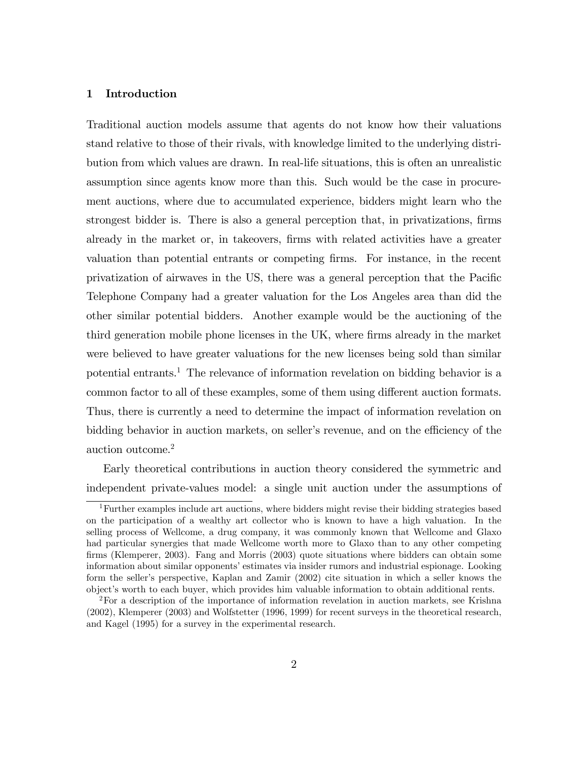# 1 Introduction

Traditional auction models assume that agents do not know how their valuations stand relative to those of their rivals, with knowledge limited to the underlying distribution from which values are drawn. In real-life situations, this is often an unrealistic assumption since agents know more than this. Such would be the case in procurement auctions, where due to accumulated experience, bidders might learn who the strongest bidder is. There is also a general perception that, in privatizations, firms already in the market or, in takeovers, Örms with related activities have a greater valuation than potential entrants or competing Örms. For instance, in the recent privatization of airwaves in the US, there was a general perception that the Pacific Telephone Company had a greater valuation for the Los Angeles area than did the other similar potential bidders. Another example would be the auctioning of the third generation mobile phone licenses in the UK, where firms already in the market were believed to have greater valuations for the new licenses being sold than similar potential entrants.<sup>1</sup> The relevance of information revelation on bidding behavior is a common factor to all of these examples, some of them using different auction formats. Thus, there is currently a need to determine the impact of information revelation on bidding behavior in auction markets, on seller's revenue, and on the efficiency of the auction outcome.<sup>2</sup>

Early theoretical contributions in auction theory considered the symmetric and independent private-values model: a single unit auction under the assumptions of

<sup>&</sup>lt;sup>1</sup>Further examples include art auctions, where bidders might revise their bidding strategies based on the participation of a wealthy art collector who is known to have a high valuation. In the selling process of Wellcome, a drug company, it was commonly known that Wellcome and Glaxo had particular synergies that made Wellcome worth more to Glaxo than to any other competing firms (Klemperer, 2003). Fang and Morris (2003) quote situations where bidders can obtain some information about similar opponents' estimates via insider rumors and industrial espionage. Looking form the seller's perspective, Kaplan and Zamir (2002) cite situation in which a seller knows the objectís worth to each buyer, which provides him valuable information to obtain additional rents.

 ${}^{2}$  For a description of the importance of information revelation in auction markets, see Krishna (2002), Klemperer (2003) and Wolfstetter (1996, 1999) for recent surveys in the theoretical research, and Kagel (1995) for a survey in the experimental research.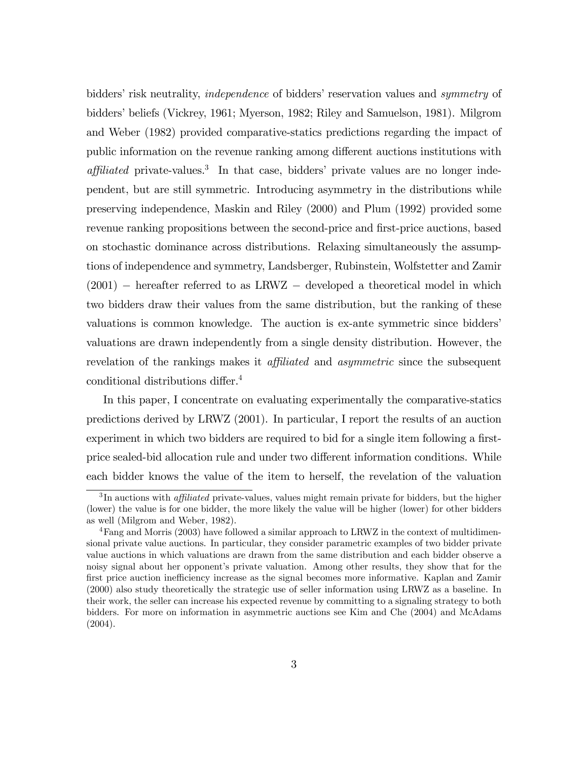bidders' risk neutrality, *independence* of bidders' reservation values and *symmetry* of bidders' beliefs (Vickrey, 1961; Myerson, 1982; Riley and Samuelson, 1981). Milgrom and Weber (1982) provided comparative-statics predictions regarding the impact of public information on the revenue ranking among different auctions institutions with  $affulated$  private-values.<sup>3</sup> In that case, bidders' private values are no longer independent, but are still symmetric. Introducing asymmetry in the distributions while preserving independence, Maskin and Riley (2000) and Plum (1992) provided some revenue ranking propositions between the second-price and first-price auctions, based on stochastic dominance across distributions. Relaxing simultaneously the assumptions of independence and symmetry, Landsberger, Rubinstein, Wolfstetter and Zamir  $(2001)$  – hereafter referred to as LRWZ – developed a theoretical model in which two bidders draw their values from the same distribution, but the ranking of these valuations is common knowledge. The auction is ex-ante symmetric since biddersí valuations are drawn independently from a single density distribution. However, the revelation of the rankings makes it *affiliated* and *asymmetric* since the subsequent conditional distributions differ.<sup>4</sup>

In this paper, I concentrate on evaluating experimentally the comparative-statics predictions derived by LRWZ (2001). In particular, I report the results of an auction experiment in which two bidders are required to bid for a single item following a firstprice sealed-bid allocation rule and under two different information conditions. While each bidder knows the value of the item to herself, the revelation of the valuation

 ${}^{3}$ In auctions with *affiliated* private-values, values might remain private for bidders, but the higher (lower) the value is for one bidder, the more likely the value will be higher (lower) for other bidders as well (Milgrom and Weber, 1982).

<sup>4</sup>Fang and Morris (2003) have followed a similar approach to LRWZ in the context of multidimensional private value auctions. In particular, they consider parametric examples of two bidder private value auctions in which valuations are drawn from the same distribution and each bidder observe a noisy signal about her opponent's private valuation. Among other results, they show that for the first price auction inefficiency increase as the signal becomes more informative. Kaplan and Zamir (2000) also study theoretically the strategic use of seller information using LRWZ as a baseline. In their work, the seller can increase his expected revenue by committing to a signaling strategy to both bidders. For more on information in asymmetric auctions see Kim and Che (2004) and McAdams (2004).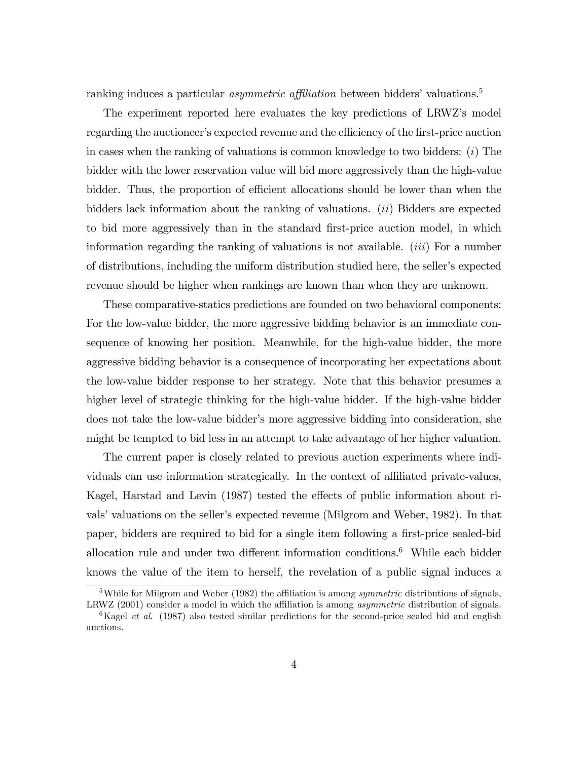ranking induces a particular *asymmetric affiliation* between bidders' valuations.<sup>5</sup>

The experiment reported here evaluates the key predictions of LRWZís model regarding the auctioneer's expected revenue and the efficiency of the first-price auction in cases when the ranking of valuations is common knowledge to two bidders: (i) The bidder with the lower reservation value will bid more aggressively than the high-value bidder. Thus, the proportion of efficient allocations should be lower than when the bidders lack information about the ranking of valuations.  $(ii)$  Bidders are expected to bid more aggressively than in the standard Örst-price auction model, in which information regarding the ranking of valuations is not available.  $(iii)$  For a number of distributions, including the uniform distribution studied here, the seller's expected revenue should be higher when rankings are known than when they are unknown.

These comparative-statics predictions are founded on two behavioral components: For the low-value bidder, the more aggressive bidding behavior is an immediate consequence of knowing her position. Meanwhile, for the high-value bidder, the more aggressive bidding behavior is a consequence of incorporating her expectations about the low-value bidder response to her strategy. Note that this behavior presumes a higher level of strategic thinking for the high-value bidder. If the high-value bidder does not take the low-value bidder's more aggressive bidding into consideration, she might be tempted to bid less in an attempt to take advantage of her higher valuation.

The current paper is closely related to previous auction experiments where individuals can use information strategically. In the context of affiliated private-values, Kagel, Harstad and Levin (1987) tested the effects of public information about rivals' valuations on the seller's expected revenue (Milgrom and Weber, 1982). In that paper, bidders are required to bid for a single item following a first-price sealed-bid allocation rule and under two different information conditions.<sup>6</sup> While each bidder knows the value of the item to herself, the revelation of a public signal induces a

<sup>&</sup>lt;sup>5</sup>While for Milgrom and Weber (1982) the affiliation is among *symmetric* distributions of signals, LRWZ  $(2001)$  consider a model in which the affiliation is among *asymmetric* distribution of signals.

 ${}^{6}$ Kagel *et al.* (1987) also tested similar predictions for the second-price sealed bid and english auctions.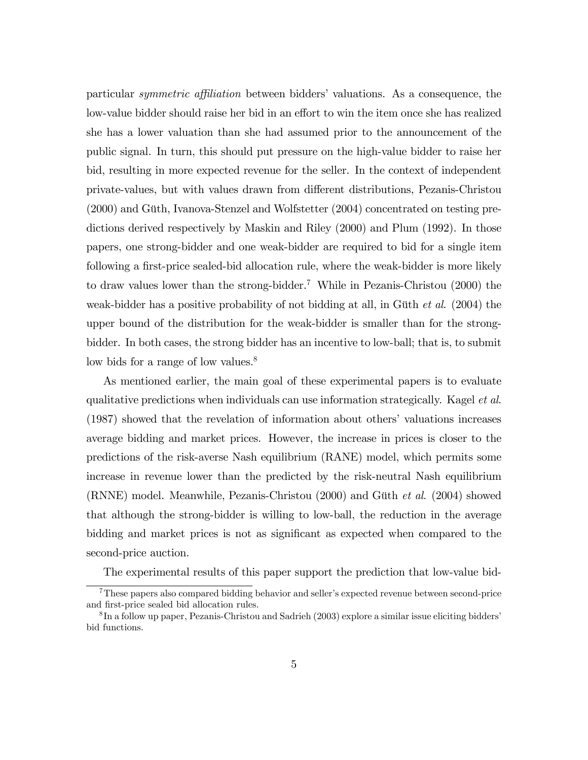particular *symmetric affiliation* between bidders' valuations. As a consequence, the low-value bidder should raise her bid in an effort to win the item once she has realized she has a lower valuation than she had assumed prior to the announcement of the public signal. In turn, this should put pressure on the high-value bidder to raise her bid, resulting in more expected revenue for the seller. In the context of independent private-values, but with values drawn from di§erent distributions, Pezanis-Christou  $(2000)$  and Güth, Ivanova-Stenzel and Wolfstetter  $(2004)$  concentrated on testing predictions derived respectively by Maskin and Riley (2000) and Plum (1992). In those papers, one strong-bidder and one weak-bidder are required to bid for a single item following a first-price sealed-bid allocation rule, where the weak-bidder is more likely to draw values lower than the strong-bidder.<sup>7</sup> While in Pezanis-Christou (2000) the weak-bidder has a positive probability of not bidding at all, in Güth  $et$  al. (2004) the upper bound of the distribution for the weak-bidder is smaller than for the strongbidder. In both cases, the strong bidder has an incentive to low-ball; that is, to submit low bids for a range of low values.<sup>8</sup>

As mentioned earlier, the main goal of these experimental papers is to evaluate qualitative predictions when individuals can use information strategically. Kagel et al. (1987) showed that the revelation of information about others' valuations increases average bidding and market prices. However, the increase in prices is closer to the predictions of the risk-averse Nash equilibrium (RANE) model, which permits some increase in revenue lower than the predicted by the risk-neutral Nash equilibrium (RNNE) model. Meanwhile, Pezanis-Christou  $(2000)$  and Güth *et al.*  $(2004)$  showed that although the strong-bidder is willing to low-ball, the reduction in the average bidding and market prices is not as significant as expected when compared to the second-price auction.

The experimental results of this paper support the prediction that low-value bid-

 $7$ These papers also compared bidding behavior and seller's expected revenue between second-price and first-price sealed bid allocation rules.

<sup>&</sup>lt;sup>8</sup>In a follow up paper, Pezanis-Christou and Sadrieh (2003) explore a similar issue eliciting bidders' bid functions.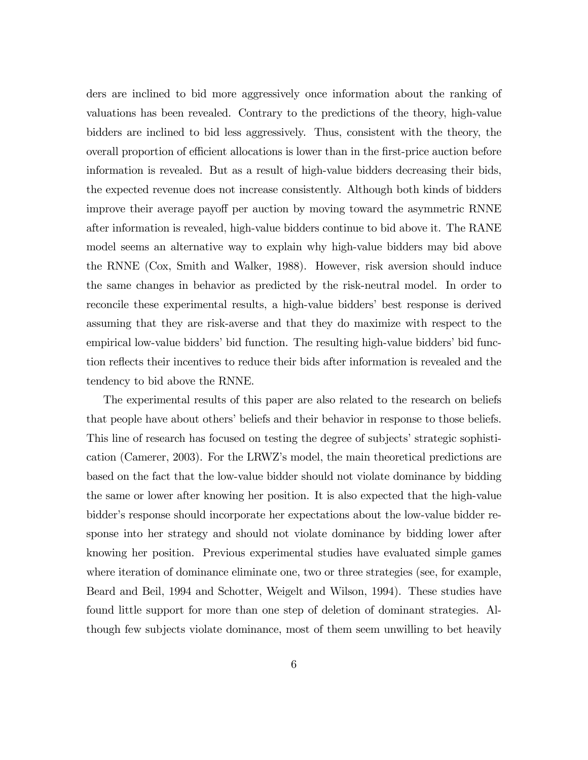ders are inclined to bid more aggressively once information about the ranking of valuations has been revealed. Contrary to the predictions of the theory, high-value bidders are inclined to bid less aggressively. Thus, consistent with the theory, the overall proportion of efficient allocations is lower than in the first-price auction before information is revealed. But as a result of high-value bidders decreasing their bids, the expected revenue does not increase consistently. Although both kinds of bidders improve their average payoff per auction by moving toward the asymmetric RNNE after information is revealed, high-value bidders continue to bid above it. The RANE model seems an alternative way to explain why high-value bidders may bid above the RNNE (Cox, Smith and Walker, 1988). However, risk aversion should induce the same changes in behavior as predicted by the risk-neutral model. In order to reconcile these experimental results, a high-value bidders' best response is derived assuming that they are risk-averse and that they do maximize with respect to the empirical low-value bidders' bid function. The resulting high-value bidders' bid function reflects their incentives to reduce their bids after information is revealed and the tendency to bid above the RNNE.

The experimental results of this paper are also related to the research on beliefs that people have about others' beliefs and their behavior in response to those beliefs. This line of research has focused on testing the degree of subjects' strategic sophistication (Camerer, 2003). For the LRWZís model, the main theoretical predictions are based on the fact that the low-value bidder should not violate dominance by bidding the same or lower after knowing her position. It is also expected that the high-value bidder's response should incorporate her expectations about the low-value bidder response into her strategy and should not violate dominance by bidding lower after knowing her position. Previous experimental studies have evaluated simple games where iteration of dominance eliminate one, two or three strategies (see, for example, Beard and Beil, 1994 and Schotter, Weigelt and Wilson, 1994). These studies have found little support for more than one step of deletion of dominant strategies. Although few subjects violate dominance, most of them seem unwilling to bet heavily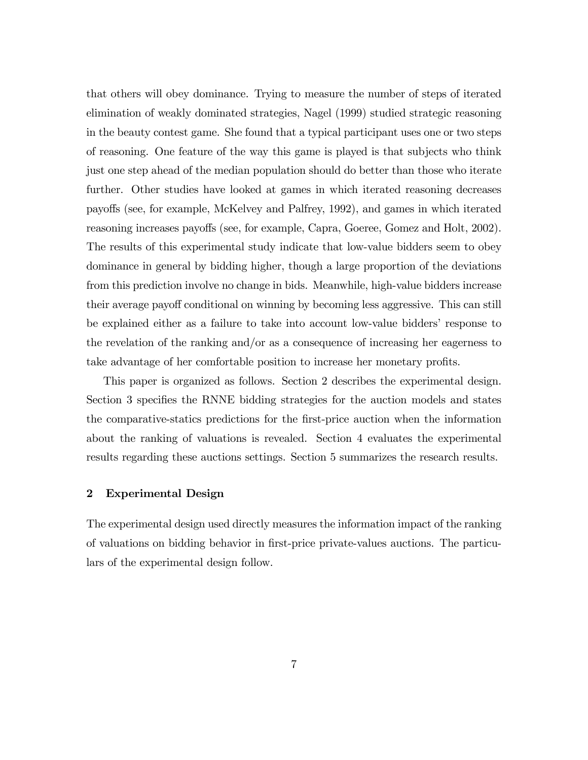that others will obey dominance. Trying to measure the number of steps of iterated elimination of weakly dominated strategies, Nagel (1999) studied strategic reasoning in the beauty contest game. She found that a typical participant uses one or two steps of reasoning. One feature of the way this game is played is that subjects who think just one step ahead of the median population should do better than those who iterate further. Other studies have looked at games in which iterated reasoning decreases payo§s (see, for example, McKelvey and Palfrey, 1992), and games in which iterated reasoning increases payoffs (see, for example, Capra, Goeree, Gomez and Holt, 2002). The results of this experimental study indicate that low-value bidders seem to obey dominance in general by bidding higher, though a large proportion of the deviations from this prediction involve no change in bids. Meanwhile, high-value bidders increase their average payoff conditional on winning by becoming less aggressive. This can still be explained either as a failure to take into account low-value biddersí response to the revelation of the ranking and/or as a consequence of increasing her eagerness to take advantage of her comfortable position to increase her monetary profits.

This paper is organized as follows. Section 2 describes the experimental design. Section 3 specifies the RNNE bidding strategies for the auction models and states the comparative-statics predictions for the Örst-price auction when the information about the ranking of valuations is revealed. Section 4 evaluates the experimental results regarding these auctions settings. Section 5 summarizes the research results.

## 2 Experimental Design

The experimental design used directly measures the information impact of the ranking of valuations on bidding behavior in first-price private-values auctions. The particulars of the experimental design follow.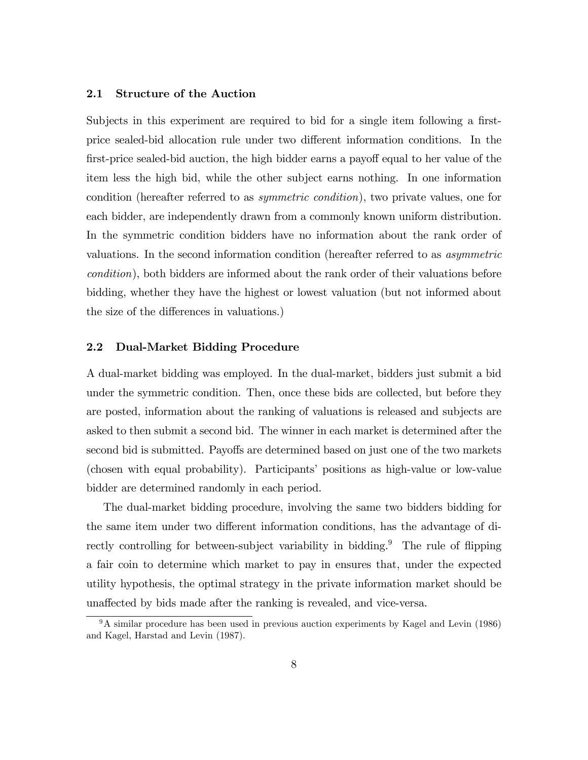# 2.1 Structure of the Auction

Subjects in this experiment are required to bid for a single item following a firstprice sealed-bid allocation rule under two different information conditions. In the first-price sealed-bid auction, the high bidder earns a payoff equal to her value of the item less the high bid, while the other subject earns nothing. In one information condition (hereafter referred to as symmetric condition), two private values, one for each bidder, are independently drawn from a commonly known uniform distribution. In the symmetric condition bidders have no information about the rank order of valuations. In the second information condition (hereafter referred to as asymmetric condition), both bidders are informed about the rank order of their valuations before bidding, whether they have the highest or lowest valuation (but not informed about the size of the differences in valuations.)

#### 2.2 Dual-Market Bidding Procedure

A dual-market bidding was employed. In the dual-market, bidders just submit a bid under the symmetric condition. Then, once these bids are collected, but before they are posted, information about the ranking of valuations is released and subjects are asked to then submit a second bid. The winner in each market is determined after the second bid is submitted. Payoffs are determined based on just one of the two markets (chosen with equal probability). Participants' positions as high-value or low-value bidder are determined randomly in each period.

The dual-market bidding procedure, involving the same two bidders bidding for the same item under two different information conditions, has the advantage of directly controlling for between-subject variability in bidding.<sup>9</sup> The rule of flipping a fair coin to determine which market to pay in ensures that, under the expected utility hypothesis, the optimal strategy in the private information market should be unaffected by bids made after the ranking is revealed, and vice-versa.

 $9A$  similar procedure has been used in previous auction experiments by Kagel and Levin (1986) and Kagel, Harstad and Levin (1987).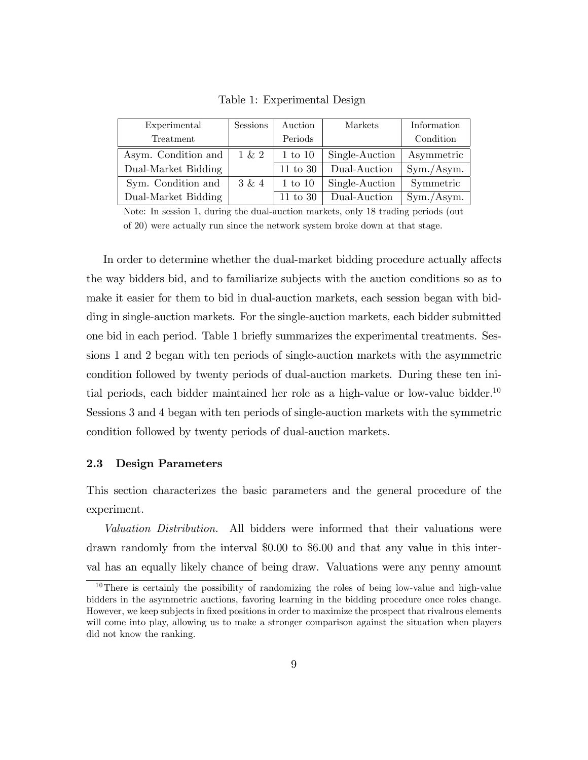| Experimental        | <b>Sessions</b> | Auction             | Markets        | Information |
|---------------------|-----------------|---------------------|----------------|-------------|
| Treatment           |                 | Periods             |                | Condition   |
| Asym. Condition and | $1 \& 2$        | $1$ to $10$         | Single-Auction | Asymmetric  |
| Dual-Market Bidding |                 | $11 \text{ to } 30$ | Dual-Auction   | Sym./Asym.  |
| Sym. Condition and  | 3 & 4           | $1 \text{ to } 10$  | Single-Auction | Symmetric   |
| Dual-Market Bidding |                 | $11$ to $30$        | Dual-Auction   | Sym./Asym.  |

Table 1: Experimental Design

Note: In session 1, during the dual-auction markets, only 18 trading periods (out of 20) were actually run since the network system broke down at that stage.

In order to determine whether the dual-market bidding procedure actually affects the way bidders bid, and to familiarize subjects with the auction conditions so as to make it easier for them to bid in dual-auction markets, each session began with bidding in single-auction markets. For the single-auction markets, each bidder submitted one bid in each period. Table 1 brieáy summarizes the experimental treatments. Sessions 1 and 2 began with ten periods of single-auction markets with the asymmetric condition followed by twenty periods of dual-auction markets. During these ten initial periods, each bidder maintained her role as a high-value or low-value bidder.<sup>10</sup> Sessions 3 and 4 began with ten periods of single-auction markets with the symmetric condition followed by twenty periods of dual-auction markets.

#### 2.3 Design Parameters

This section characterizes the basic parameters and the general procedure of the experiment.

Valuation Distribution. All bidders were informed that their valuations were drawn randomly from the interval \$0.00 to \$6.00 and that any value in this interval has an equally likely chance of being draw. Valuations were any penny amount

 $10$ There is certainly the possibility of randomizing the roles of being low-value and high-value bidders in the asymmetric auctions, favoring learning in the bidding procedure once roles change. However, we keep subjects in fixed positions in order to maximize the prospect that rivalrous elements will come into play, allowing us to make a stronger comparison against the situation when players did not know the ranking.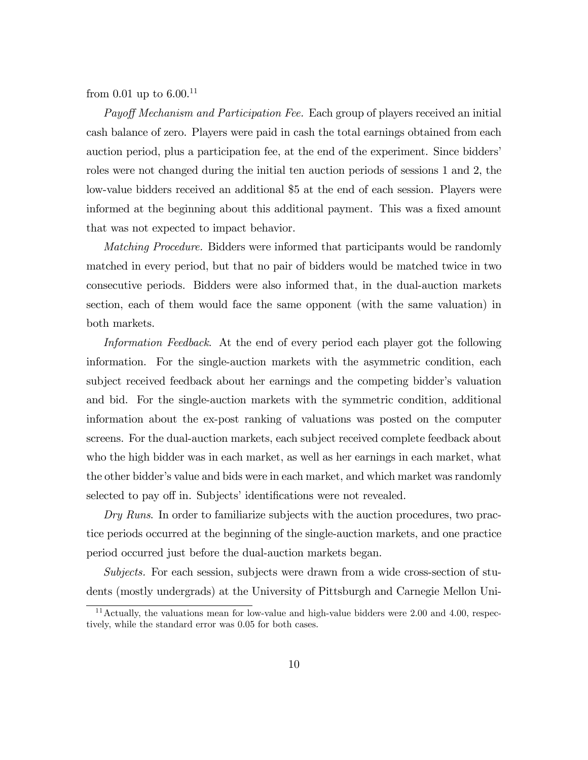from 0.01 up to  $6.00^{11}$ 

Payoff Mechanism and Participation Fee. Each group of players received an initial cash balance of zero. Players were paid in cash the total earnings obtained from each auction period, plus a participation fee, at the end of the experiment. Since bidders' roles were not changed during the initial ten auction periods of sessions 1 and 2, the low-value bidders received an additional \$5 at the end of each session. Players were informed at the beginning about this additional payment. This was a fixed amount that was not expected to impact behavior.

Matching Procedure. Bidders were informed that participants would be randomly matched in every period, but that no pair of bidders would be matched twice in two consecutive periods. Bidders were also informed that, in the dual-auction markets section, each of them would face the same opponent (with the same valuation) in both markets.

Information Feedback. At the end of every period each player got the following information. For the single-auction markets with the asymmetric condition, each subject received feedback about her earnings and the competing bidder's valuation and bid. For the single-auction markets with the symmetric condition, additional information about the ex-post ranking of valuations was posted on the computer screens. For the dual-auction markets, each subject received complete feedback about who the high bidder was in each market, as well as her earnings in each market, what the other bidder's value and bids were in each market, and which market was randomly selected to pay off in. Subjects' identifications were not revealed.

Dry Runs. In order to familiarize subjects with the auction procedures, two practice periods occurred at the beginning of the single-auction markets, and one practice period occurred just before the dual-auction markets began.

Subjects. For each session, subjects were drawn from a wide cross-section of students (mostly undergrads) at the University of Pittsburgh and Carnegie Mellon Uni-

<sup>&</sup>lt;sup>11</sup> Actually, the valuations mean for low-value and high-value bidders were  $2.00$  and  $4.00$ , respectively, while the standard error was 0.05 for both cases.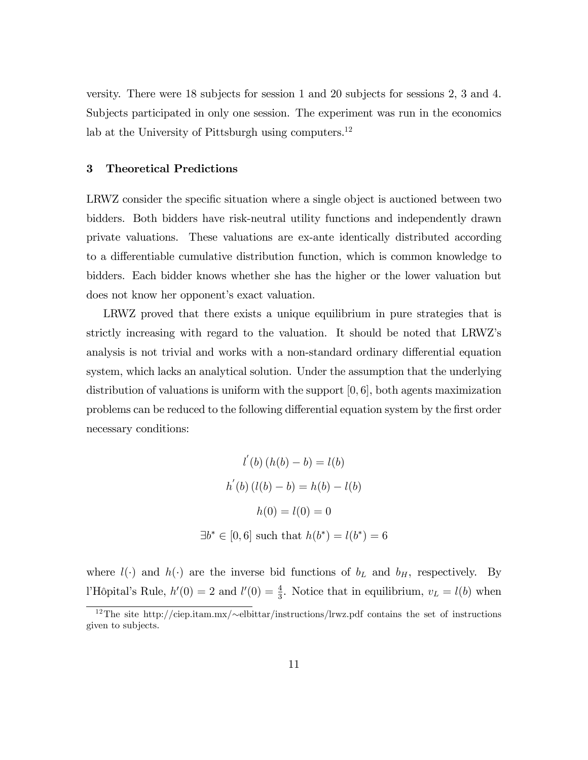versity. There were 18 subjects for session 1 and 20 subjects for sessions 2, 3 and 4. Subjects participated in only one session. The experiment was run in the economics lab at the University of Pittsburgh using computers.<sup>12</sup>

#### 3 Theoretical Predictions

LRWZ consider the specific situation where a single object is auctioned between two bidders. Both bidders have risk-neutral utility functions and independently drawn private valuations. These valuations are ex-ante identically distributed according to a differentiable cumulative distribution function, which is common knowledge to bidders. Each bidder knows whether she has the higher or the lower valuation but does not know her opponent's exact valuation.

LRWZ proved that there exists a unique equilibrium in pure strategies that is strictly increasing with regard to the valuation. It should be noted that LRWZís analysis is not trivial and works with a non-standard ordinary differential equation system, which lacks an analytical solution. Under the assumption that the underlying distribution of valuations is uniform with the support  $[0, 6]$ , both agents maximization problems can be reduced to the following differential equation system by the first order necessary conditions:

$$
l'(b) (h(b) - b) = l(b)
$$
  

$$
h'(b) (l(b) - b) = h(b) - l(b)
$$
  

$$
h(0) = l(0) = 0
$$
  

$$
\exists b^* \in [0, 6] \text{ such that } h(b^*) = l(b^*) = 6
$$

where  $l(\cdot)$  and  $h(\cdot)$  are the inverse bid functions of  $b<sub>L</sub>$  and  $b<sub>H</sub>$ , respectively. By l'Hôpital's Rule,  $h'(0) = 2$  and  $l'(0) = \frac{4}{3}$ . Notice that in equilibrium,  $v_L = l(b)$  when

<sup>&</sup>lt;sup>12</sup>The site http://ciep.itam.mx/ $\sim$ elbittar/instructions/lrwz.pdf contains the set of instructions given to subjects.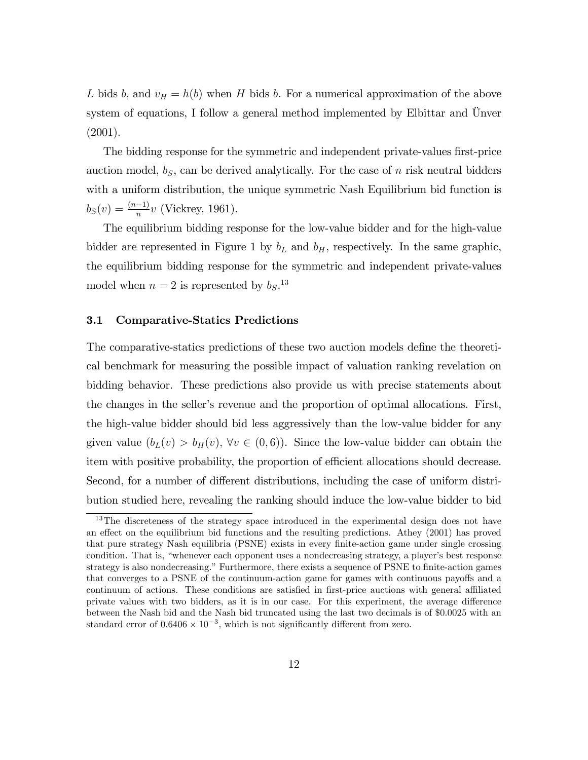L bids b, and  $v_H = h(b)$  when H bids b. For a numerical approximation of the above system of equations, I follow a general method implemented by Elbittar and  $\ddot{U}$ nver (2001).

The bidding response for the symmetric and independent private-values first-price auction model,  $b_S$ , can be derived analytically. For the case of n risk neutral bidders with a uniform distribution, the unique symmetric Nash Equilibrium bid function is  $b_S(v) = \frac{(n-1)}{n}v$  (Vickrey, 1961).

The equilibrium bidding response for the low-value bidder and for the high-value bidder are represented in Figure 1 by  $b<sub>L</sub>$  and  $b<sub>H</sub>$ , respectively. In the same graphic, the equilibrium bidding response for the symmetric and independent private-values model when  $n = 2$  is represented by  $b_S$ .<sup>13</sup>

#### 3.1 Comparative-Statics Predictions

The comparative-statics predictions of these two auction models define the theoretical benchmark for measuring the possible impact of valuation ranking revelation on bidding behavior. These predictions also provide us with precise statements about the changes in the seller's revenue and the proportion of optimal allocations. First, the high-value bidder should bid less aggressively than the low-value bidder for any given value  $(b_L(v) > b_H(v), \forall v \in (0, 6)$ . Since the low-value bidder can obtain the item with positive probability, the proportion of efficient allocations should decrease. Second, for a number of different distributions, including the case of uniform distribution studied here, revealing the ranking should induce the low-value bidder to bid

<sup>&</sup>lt;sup>13</sup>The discreteness of the strategy space introduced in the experimental design does not have an effect on the equilibrium bid functions and the resulting predictions. Athey (2001) has proved that pure strategy Nash equilibria (PSNE) exists in every finite-action game under single crossing condition. That is, "whenever each opponent uses a nondecreasing strategy, a player's best response strategy is also nondecreasing." Furthermore, there exists a sequence of PSNE to finite-action games that converges to a PSNE of the continuum-action game for games with continuous payoffs and a continuum of actions. These conditions are satisfied in first-price auctions with general affiliated private values with two bidders, as it is in our case. For this experiment, the average difference between the Nash bid and the Nash bid truncated using the last two decimals is of \$0:0025 with an standard error of  $0.6406 \times 10^{-3}$ , which is not significantly different from zero.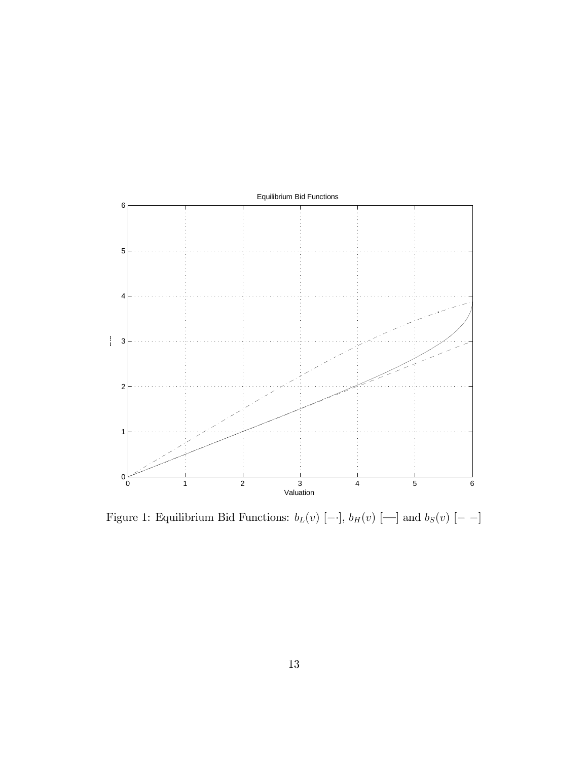

Figure 1: Equilibrium Bid Functions:  $b_L(v)$  [--],  $b_H(v)$  [--] and  $b_S(v)$  [--]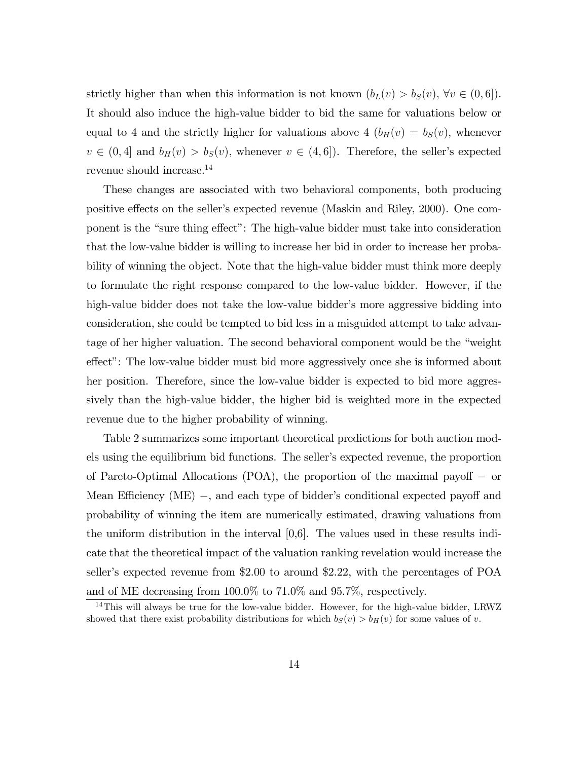strictly higher than when this information is not known  $(b_L(v) > b_S(v), \forall v \in (0,6])$ . It should also induce the high-value bidder to bid the same for valuations below or equal to 4 and the strictly higher for valuations above 4  $(b_H(v) = b_S(v))$ , whenever  $v \in (0, 4]$  and  $b_H(v) > b_S(v)$ , whenever  $v \in (4, 6]$ . Therefore, the seller's expected revenue should increase.<sup>14</sup>

These changes are associated with two behavioral components, both producing positive effects on the seller's expected revenue (Maskin and Riley, 2000). One component is the "sure thing effect": The high-value bidder must take into consideration that the low-value bidder is willing to increase her bid in order to increase her probability of winning the object. Note that the high-value bidder must think more deeply to formulate the right response compared to the low-value bidder. However, if the high-value bidder does not take the low-value bidder's more aggressive bidding into consideration, she could be tempted to bid less in a misguided attempt to take advantage of her higher valuation. The second behavioral component would be the "weight" effect": The low-value bidder must bid more aggressively once she is informed about her position. Therefore, since the low-value bidder is expected to bid more aggressively than the high-value bidder, the higher bid is weighted more in the expected revenue due to the higher probability of winning.

Table 2 summarizes some important theoretical predictions for both auction models using the equilibrium bid functions. The seller's expected revenue, the proportion of Pareto-Optimal Allocations (POA), the proportion of the maximal payoff  $-$  or Mean Efficiency (ME) –, and each type of bidder's conditional expected payoff and probability of winning the item are numerically estimated, drawing valuations from the uniform distribution in the interval [0,6]. The values used in these results indicate that the theoretical impact of the valuation ranking revelation would increase the seller's expected revenue from \$2.00 to around  $2.22$ , with the percentages of POA and of ME decreasing from 100.0% to 71.0% and 95.7%, respectively.

<sup>&</sup>lt;sup>14</sup>This will always be true for the low-value bidder. However, for the high-value bidder, LRWZ showed that there exist probability distributions for which  $b_S(v) > b_H(v)$  for some values of v.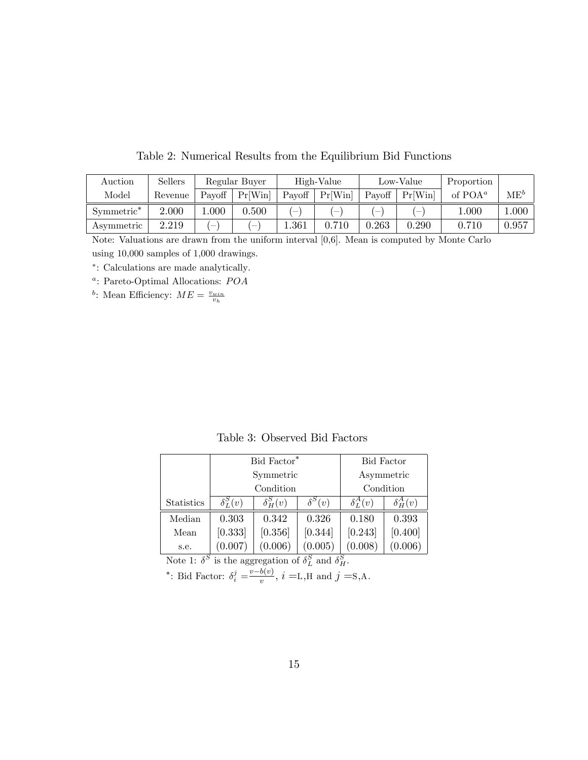| Auction                | Sellers |        | Regular Buyer |           | High-Value |                          | Low-Value | Proportion |          |
|------------------------|---------|--------|---------------|-----------|------------|--------------------------|-----------|------------|----------|
| Model                  | Revenue | Payoff | Pr[Win]       | Payoff    | Pr[Win]    | Payoff                   | Pr[Win]   | of $POA^a$ | $ME^{b}$ |
| Symmetric <sup>*</sup> | 2.000   | .000   | 0.500         | $\sim$    | $\sim$     | $\overline{\phantom{a}}$ | $\sim$    | 000.1      | 0.000    |
| Asymmetric             | 2.219   | -      | $\sim$        | $1.361\,$ | 0.710      | $\,0.263\,$              | ${0.290}$ | 0.710      | 0.957    |

Table 2: Numerical Results from the Equilibrium Bid Functions

Note: Valuations are drawn from the uniform interval [0,6]. Mean is computed by Monte Carlo using 10,000 samples of 1,000 drawings.

: Calculations are made analytically:

<sup>a</sup>: Pareto-Optimal Allocations: POA

<sup>b</sup>: Mean Efficiency:  $ME = \frac{v_{win}}{v_h}$ 

Table 3: Observed Bid Factors

|                   |                 | Bid Factor <sup>*</sup> |               | <b>Bid Factor</b> |                 |
|-------------------|-----------------|-------------------------|---------------|-------------------|-----------------|
|                   |                 | Symmetric               |               | Asymmetric        |                 |
|                   |                 | Condition               |               | Condition         |                 |
| <b>Statistics</b> | $\delta_I^S(v)$ | $\delta^S_{\rm H}(v)$   | $\delta^S(v)$ | $\delta_T^A(v)$   | $\delta_H^A(v)$ |
| Median            | 0.303           | 0.342                   | 0.326         | 0.180             | 0.393           |
| Mean              | [0.333]         | [0.356]                 | [0.344]       | [0.243]           | [0.400]         |
| s.e.              | (0.007)         | (0.006)                 | (0.005)       | (0.008)           | (0.006)         |

Note 1:  $\delta^S$  is the aggregation of  $\delta_L^S$  and  $\delta_H^S$ .

\*: Bid Factor:  $\delta_i^j = \frac{v - b(v)}{v}$ ,  $i = L, H$  and  $j = S, A$ .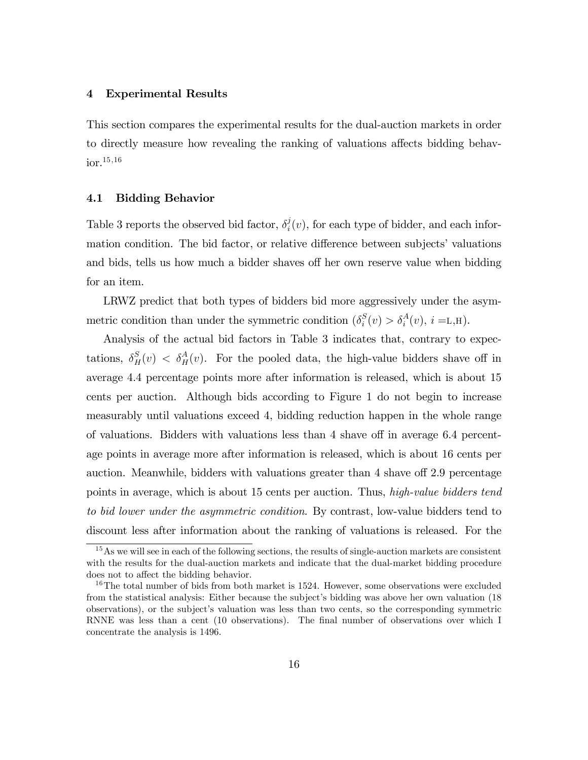#### 4 Experimental Results

This section compares the experimental results for the dual-auction markets in order to directly measure how revealing the ranking of valuations affects bidding behav- $\rm{ior.}^{15,16}$ 

# 4.1 Bidding Behavior

Table 3 reports the observed bid factor,  $\delta_i^j$  $i(v)$ , for each type of bidder, and each information condition. The bid factor, or relative difference between subjects' valuations and bids, tells us how much a bidder shaves off her own reserve value when bidding for an item.

LRWZ predict that both types of bidders bid more aggressively under the asymmetric condition than under the symmetric condition  $(\delta_i^S)$  $i_s^S(v) > \delta_i^A(v), i = L, H$ .

Analysis of the actual bid factors in Table 3 indicates that, contrary to expectations,  $\delta_H^S(v) < \delta_H^A(v)$ . For the pooled data, the high-value bidders shave off in average 4.4 percentage points more after information is released, which is about 15 cents per auction. Although bids according to Figure 1 do not begin to increase measurably until valuations exceed 4, bidding reduction happen in the whole range of valuations. Bidders with valuations less than  $4$  shave off in average 6.4 percentage points in average more after information is released, which is about 16 cents per auction. Meanwhile, bidders with valuations greater than 4 shave of 2.9 percentage points in average, which is about 15 cents per auction. Thus, high-value bidders tend to bid lower under the asymmetric condition. By contrast, low-value bidders tend to discount less after information about the ranking of valuations is released. For the

<sup>&</sup>lt;sup>15</sup>As we will see in each of the following sections, the results of single-auction markets are consistent with the results for the dual-auction markets and indicate that the dual-market bidding procedure does not to affect the bidding behavior.

 $16$ The total number of bids from both market is 1524. However, some observations were excluded from the statistical analysis: Either because the subject's bidding was above her own valuation (18) observations), or the subjectís valuation was less than two cents, so the corresponding symmetric RNNE was less than a cent (10 observations). The final number of observations over which I concentrate the analysis is 1496.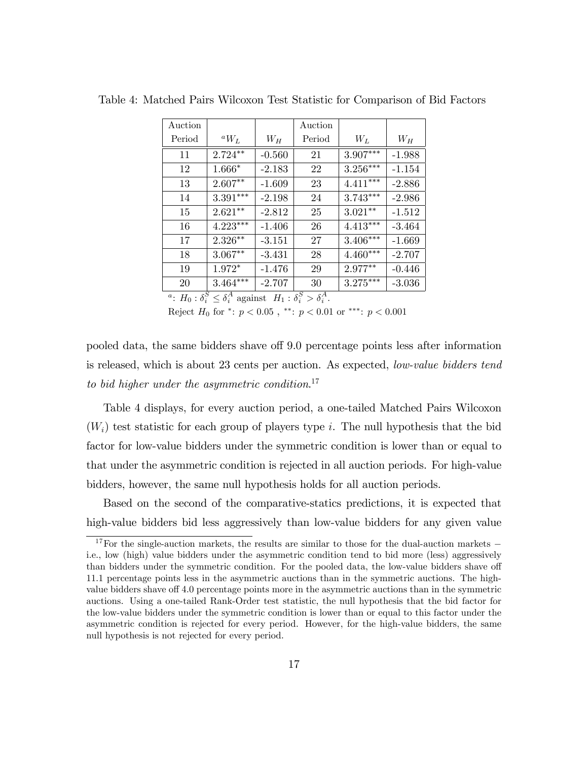|            |               | Auction |                                                                                        |          |
|------------|---------------|---------|----------------------------------------------------------------------------------------|----------|
| ${}^aW_L$  | $W_H$         | Period  | $W_L$                                                                                  | $W_H$    |
| $2.724***$ | $-0.560$      | 21      | $3.907***$                                                                             | $-1.988$ |
| 1.666*     | $-2.183$      | 22      | $3.256***$                                                                             | $-1.154$ |
| $2.607**$  | $-1.609$      | 23      | $4.411***$                                                                             | $-2.886$ |
| $3.391***$ | $-2.198$      | 24      | $3.743***$                                                                             | $-2.986$ |
| $2.621**$  | $-2.812$      | 25      | $3.021***$                                                                             | $-1.512$ |
| $4.223***$ | $-1.406$      | 26      | $4.413***$                                                                             | $-3.464$ |
| $2.326***$ | $-3.151$      | 27      | $3.406***$                                                                             | $-1.669$ |
| $3.067***$ | $-3.431$      | 28      | $4.460***$                                                                             | $-2.707$ |
| 1.972*     | $-1.476$      | 29      | 2.977**                                                                                | $-0.446$ |
| $3.464***$ | $-2.707$      | 30      | $3.275***$                                                                             | $-3.036$ |
|            | $\mathcal{S}$ |         | $sS \sim sA$<br>$\geq$ s <sup>A</sup> $\sim$ $\sim$ $\sim$ $\sim$ $\sim$ $\sim$ $\sim$ |          |

Table 4: Matched Pairs Wilcoxon Test Statistic for Comparison of Bid Factors

<sup>*a*</sup>:  $H_0: \delta_i^S \leq \delta_i^A$  against  $H_1: \delta_i^S > \delta_i^A$ .

Reject  $H_0$  for  $\text{*}:$   $p < 0.05$ ,  $\text{*}:$   $p < 0.01$  or  $\text{**}:$   $p < 0.001$ 

pooled data, the same bidders shave off 9.0 percentage points less after information is released, which is about 23 cents per auction. As expected, low-value bidders tend to bid higher under the asymmetric condition.<sup>17</sup>

Table 4 displays, for every auction period, a one-tailed Matched Pairs Wilcoxon  $(W_i)$  test statistic for each group of players type i. The null hypothesis that the bid factor for low-value bidders under the symmetric condition is lower than or equal to that under the asymmetric condition is rejected in all auction periods. For high-value bidders, however, the same null hypothesis holds for all auction periods.

Based on the second of the comparative-statics predictions, it is expected that high-value bidders bid less aggressively than low-value bidders for any given value

<sup>&</sup>lt;sup>17</sup>For the single-auction markets, the results are similar to those for the dual-auction markets  $$ i.e., low (high) value bidders under the asymmetric condition tend to bid more (less) aggressively than bidders under the symmetric condition. For the pooled data, the low-value bidders shave of 11.1 percentage points less in the asymmetric auctions than in the symmetric auctions. The highvalue bidders shave of 4.0 percentage points more in the asymmetric auctions than in the symmetric auctions. Using a one-tailed Rank-Order test statistic, the null hypothesis that the bid factor for the low-value bidders under the symmetric condition is lower than or equal to this factor under the asymmetric condition is rejected for every period. However, for the high-value bidders, the same null hypothesis is not rejected for every period.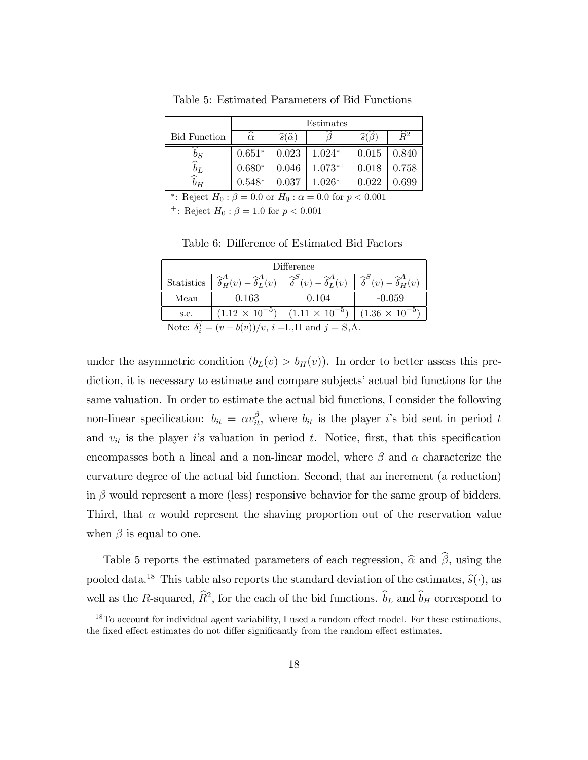|                     | Estimates                 |                                 |           |                      |                 |  |
|---------------------|---------------------------|---------------------------------|-----------|----------------------|-----------------|--|
| <b>Bid Function</b> | $\overline{\hat{\alpha}}$ | $\widehat{s}(\widehat{\alpha})$ |           | $\widehat{s}(\beta)$ | $\widehat{R}^2$ |  |
| $b_S$               | $0.651*$                  | 0.023                           | $1.024*$  | 0.015                | 0.840           |  |
| $\widetilde{b}_L$   | $0.680*$                  | 0.046                           | $1.073**$ | 0.018                | 0.758           |  |
| $b_H$               | $0.548*$                  | 0.037                           | $1.026*$  | 0.022                | ${0.699}$       |  |

Table 5: Estimated Parameters of Bid Functions

\*: Reject  $H_0: \beta = 0.0$  or  $H_0: \alpha = 0.0$  for  $p < 0.001$ 

<sup>+</sup>: Reject  $H_0: \beta = 1.0$  for  $p < 0.001$ 

Table 6: Difference of Estimated Bid Factors

| Difference                                                      |                                                                                                                                                                                          |                                                                         |          |  |  |
|-----------------------------------------------------------------|------------------------------------------------------------------------------------------------------------------------------------------------------------------------------------------|-------------------------------------------------------------------------|----------|--|--|
|                                                                 | Statistics $\left  \hat{\delta}_{H}^{A}(v) - \hat{\delta}_{L}^{A}(v) \right  \hat{\delta}^{S}(v) - \hat{\delta}_{L}^{A}(v) \left  \hat{\delta}^{S}(v) - \hat{\delta}_{H}^{A}(v) \right $ |                                                                         |          |  |  |
| Mean                                                            | 0.163                                                                                                                                                                                    | 0.104                                                                   | $-0.059$ |  |  |
| s.e.                                                            |                                                                                                                                                                                          | $(1.12 \times 10^{-5})$ $(1.11 \times 10^{-5})$ $(1.36 \times 10^{-5})$ |          |  |  |
| Note: $\delta_i^j = (v - b(v))/v$ , $i = L, H$ and $j = S, A$ . |                                                                                                                                                                                          |                                                                         |          |  |  |

under the asymmetric condition  $(b_L(v) > b_H(v))$ . In order to better assess this prediction, it is necessary to estimate and compare subjects' actual bid functions for the same valuation. In order to estimate the actual bid functions, I consider the following non-linear specification:  $b_{it} = \alpha v_{it}^{\beta}$ , where  $b_{it}$  is the player *i*'s bid sent in period t and  $v_{it}$  is the player is valuation in period t. Notice, first, that this specification encompasses both a lineal and a non-linear model, where  $\beta$  and  $\alpha$  characterize the curvature degree of the actual bid function. Second, that an increment (a reduction) in  $\beta$  would represent a more (less) responsive behavior for the same group of bidders. Third, that  $\alpha$  would represent the shaving proportion out of the reservation value when  $\beta$  is equal to one.

Table 5 reports the estimated parameters of each regression,  $\hat{\alpha}$  and  $\hat{\beta}$ , using the pooled data.<sup>18</sup> This table also reports the standard deviation of the estimates,  $\hat{s}(\cdot)$ , as well as the R-squared,  $\hat{R}^2$ , for the each of the bid functions.  $\hat{b}_L$  and  $\hat{b}_H$  correspond to

 $18$ To account for individual agent variability, I used a random effect model. For these estimations, the fixed effect estimates do not differ significantly from the random effect estimates.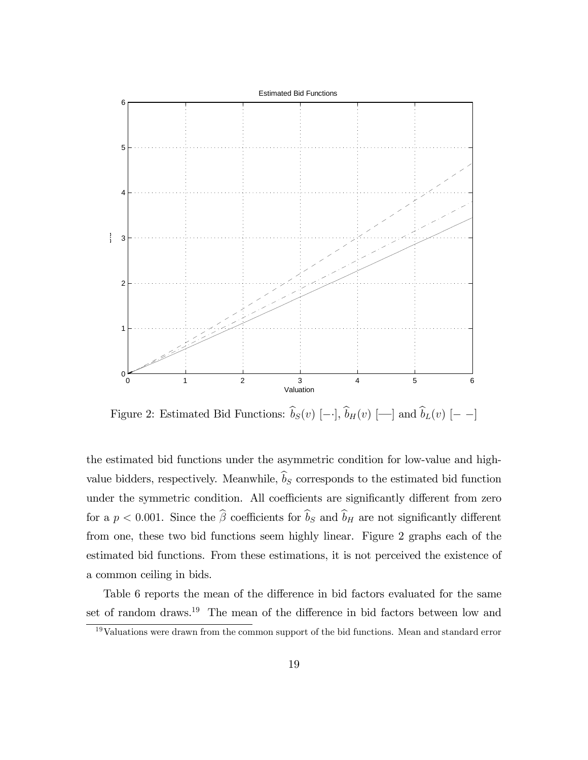

Figure 2: Estimated Bid Functions:  $\hat{b}_S(v)$  [--],  $\hat{b}_H(v)$  [--] and  $\hat{b}_L(v)$  [--]

the estimated bid functions under the asymmetric condition for low-value and highvalue bidders, respectively. Meanwhile,  $\widehat{b}_S$  corresponds to the estimated bid function under the symmetric condition. All coefficients are significantly different from zero for a  $p < 0.001$ . Since the  $\hat{\beta}$  coefficients for  $\hat{b}_S$  and  $\hat{b}_H$  are not significantly different from one, these two bid functions seem highly linear. Figure 2 graphs each of the estimated bid functions. From these estimations, it is not perceived the existence of a common ceiling in bids.

Table 6 reports the mean of the difference in bid factors evaluated for the same set of random draws.<sup>19</sup> The mean of the difference in bid factors between low and

<sup>19</sup>Valuations were drawn from the common support of the bid functions. Mean and standard error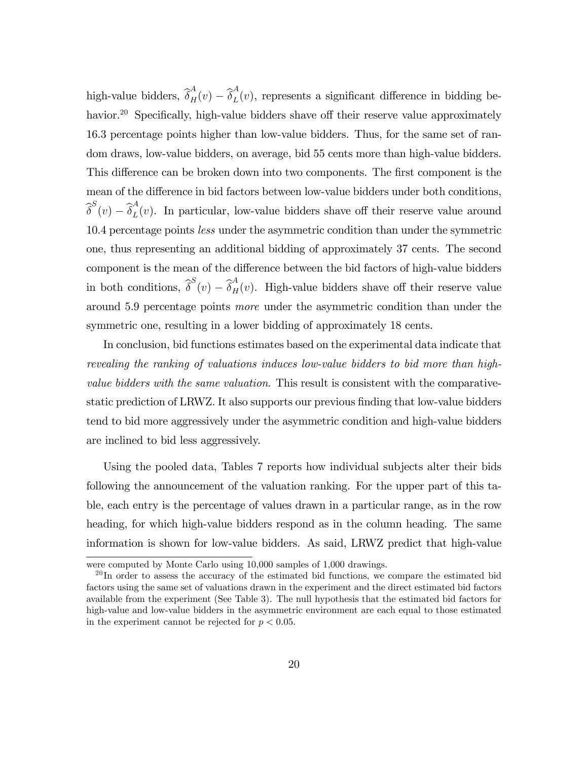high-value bidders,  $\widehat{\delta}_H^A(v) - \widehat{\delta}_L^A$  $L(v)$ , represents a significant difference in bidding behavior.<sup>20</sup> Specifically, high-value bidders shave off their reserve value approximately 16.3 percentage points higher than low-value bidders. Thus, for the same set of random draws, low-value bidders, on average, bid 55 cents more than high-value bidders. This difference can be broken down into two components. The first component is the mean of the difference in bid factors between low-value bidders under both conditions,  $\widehat{\delta}^S(v) - \widehat{\delta}^A_L$  $L(v)$ . In particular, low-value bidders shave off their reserve value around 10.4 percentage points *less* under the asymmetric condition than under the symmetric one, thus representing an additional bidding of approximately 37 cents. The second component is the mean of the difference between the bid factors of high-value bidders in both conditions,  $\hat{\delta}^S(v) - \hat{\delta}^A_H(v)$ . High-value bidders shave off their reserve value around 5.9 percentage points more under the asymmetric condition than under the symmetric one, resulting in a lower bidding of approximately 18 cents.

In conclusion, bid functions estimates based on the experimental data indicate that revealing the ranking of valuations induces low-value bidders to bid more than highvalue bidders with the same valuation. This result is consistent with the comparativestatic prediction of LRWZ. It also supports our previous finding that low-value bidders tend to bid more aggressively under the asymmetric condition and high-value bidders are inclined to bid less aggressively.

Using the pooled data, Tables 7 reports how individual subjects alter their bids following the announcement of the valuation ranking. For the upper part of this table, each entry is the percentage of values drawn in a particular range, as in the row heading, for which high-value bidders respond as in the column heading. The same information is shown for low-value bidders. As said, LRWZ predict that high-value

were computed by Monte Carlo using 10,000 samples of 1,000 drawings.

 $^{20}$ In order to assess the accuracy of the estimated bid functions, we compare the estimated bid factors using the same set of valuations drawn in the experiment and the direct estimated bid factors available from the experiment (See Table 3). The null hypothesis that the estimated bid factors for high-value and low-value bidders in the asymmetric environment are each equal to those estimated in the experiment cannot be rejected for  $p < 0.05$ .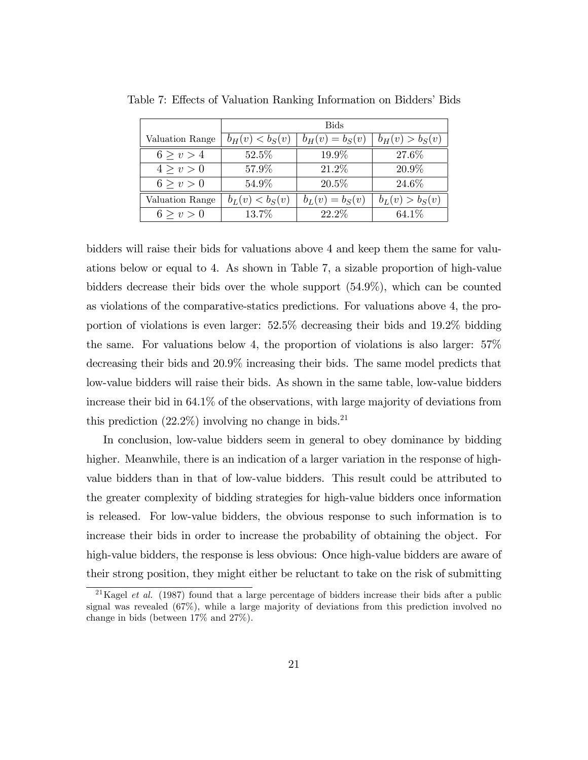|                 | <b>Bids</b>       |                   |                   |  |  |
|-----------------|-------------------|-------------------|-------------------|--|--|
| Valuation Range | $b_H(v) < b_S(v)$ | $b_H(v) = b_S(v)$ | $b_H(v) > b_S(v)$ |  |  |
| 6 > v > 4       | 52.5%             | 19.9%             | 27.6%             |  |  |
| 4 > v > 0       | 57.9%             | 21.2%             | 20.9%             |  |  |
| 6 > v > 0       | $54.9\%$          | $20.5\%$          | 24.6%             |  |  |
| Valuation Range | $b_L(v) < b_S(v)$ | $b_L(v) = b_S(v)$ | $b_L(v) > b_S(v)$ |  |  |
| 6 > v > 0       | 13.7%             | 22.2%             | 64.1%             |  |  |

Table 7: Effects of Valuation Ranking Information on Bidders' Bids

bidders will raise their bids for valuations above 4 and keep them the same for valuations below or equal to 4. As shown in Table 7, a sizable proportion of high-value bidders decrease their bids over the whole support (54.9%), which can be counted as violations of the comparative-statics predictions. For valuations above 4, the proportion of violations is even larger: 52.5% decreasing their bids and 19.2% bidding the same. For valuations below 4, the proportion of violations is also larger: 57% decreasing their bids and 20.9% increasing their bids. The same model predicts that low-value bidders will raise their bids. As shown in the same table, low-value bidders increase their bid in 64.1% of the observations, with large majority of deviations from this prediction  $(22.2\%)$  involving no change in bids.<sup>21</sup>

In conclusion, low-value bidders seem in general to obey dominance by bidding higher. Meanwhile, there is an indication of a larger variation in the response of highvalue bidders than in that of low-value bidders. This result could be attributed to the greater complexity of bidding strategies for high-value bidders once information is released. For low-value bidders, the obvious response to such information is to increase their bids in order to increase the probability of obtaining the object. For high-value bidders, the response is less obvious: Once high-value bidders are aware of their strong position, they might either be reluctant to take on the risk of submitting

<sup>&</sup>lt;sup>21</sup>Kagel *et al.* (1987) found that a large percentage of bidders increase their bids after a public signal was revealed (67%), while a large majority of deviations from this prediction involved no change in bids (between 17% and 27%).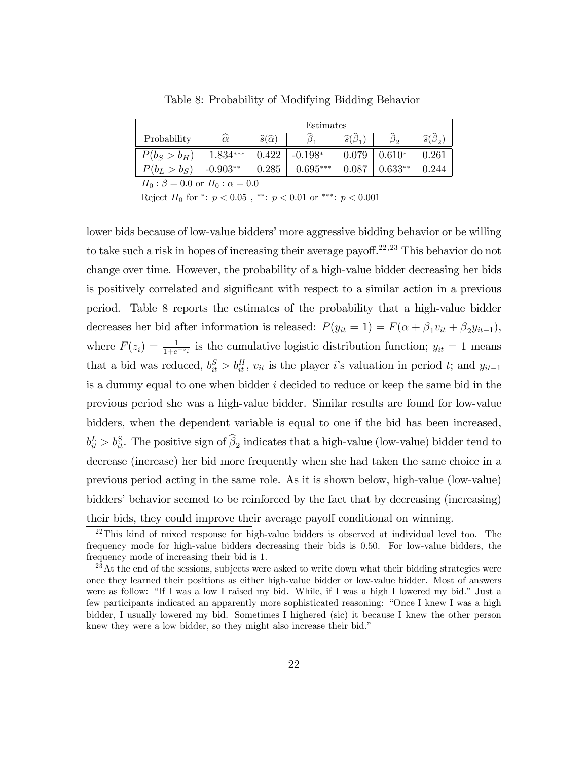|                | Estimates     |                                 |            |                        |           |                        |
|----------------|---------------|---------------------------------|------------|------------------------|-----------|------------------------|
| Probability    | ⌒<br>$\alpha$ | $\widehat{s}(\widehat{\alpha})$ |            | $\widehat{s}(\beta_1)$ | ມດ        | $\widehat{s}(\beta_2)$ |
| $P(b_S > b_H)$ | $1.834***$    | 0.422                           | $-0.198*$  | 0.079                  | $0.610*$  | 0.261                  |
| $P(b_L > b_S)$ | $-0.903**$    | 0.285                           | $0.695***$ | 0.087                  | $0.633**$ | 0.244                  |
| $\cap$ $\cap$  |               | $\cap$ $\cap$                   |            |                        |           |                        |

Table 8: Probability of Modifying Bidding Behavior

 $H_0$ :  $\beta = 0.0$  or  $H_0$ :  $\alpha = 0.0$ 

Reject  $H_0$  for \*:  $p < 0.05$ , \*\*:  $p < 0.01$  or \*\*\*:  $p < 0.001$ 

lower bids because of low-value bidders' more aggressive bidding behavior or be willing to take such a risk in hopes of increasing their average payoff.<sup>22,23</sup> This behavior do not change over time. However, the probability of a high-value bidder decreasing her bids is positively correlated and significant with respect to a similar action in a previous period. Table 8 reports the estimates of the probability that a high-value bidder decreases her bid after information is released:  $P(y_{it} = 1) = F(\alpha + \beta_1 v_{it} + \beta_2 y_{it-1}),$ where  $F(z_i) = \frac{1}{1+e^{-z_i}}$  is the cumulative logistic distribution function;  $y_{it} = 1$  means that a bid was reduced,  $b_{it}^{S} > b_{it}^{H}$ ,  $v_{it}$  is the player i's valuation in period t; and  $y_{it-1}$ is a dummy equal to one when bidder  $i$  decided to reduce or keep the same bid in the previous period she was a high-value bidder. Similar results are found for low-value bidders, when the dependent variable is equal to one if the bid has been increased,  $b_{it}^L > b_{it}^S$ . The positive sign of  $\hat{\beta}_2$  indicates that a high-value (low-value) bidder tend to decrease (increase) her bid more frequently when she had taken the same choice in a previous period acting in the same role. As it is shown below, high-value (low-value) bidders' behavior seemed to be reinforced by the fact that by decreasing (increasing) their bids, they could improve their average payoff conditional on winning.

 $^{22}$ This kind of mixed response for high-value bidders is observed at individual level too. The frequency mode for high-value bidders decreasing their bids is 0.50. For low-value bidders, the frequency mode of increasing their bid is 1.

 $^{23}$ At the end of the sessions, subjects were asked to write down what their bidding strategies were once they learned their positions as either high-value bidder or low-value bidder. Most of answers were as follow: "If I was a low I raised my bid. While, if I was a high I lowered my bid." Just a few participants indicated an apparently more sophisticated reasoning: "Once I knew I was a high bidder, I usually lowered my bid. Sometimes I highered (sic) it because I knew the other person knew they were a low bidder, so they might also increase their bid."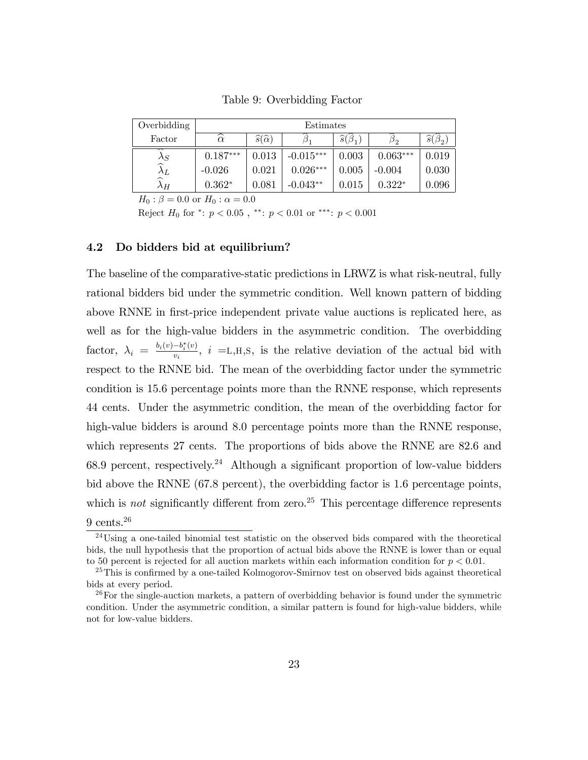| Overbidding                            | Estimates          |                                 |             |                        |            |                        |
|----------------------------------------|--------------------|---------------------------------|-------------|------------------------|------------|------------------------|
| Factor                                 | $\widehat{\alpha}$ | $\widehat{s}(\widehat{\alpha})$ | υ1          | $\widehat{s}(\beta_1)$ | $\rho_{2}$ | $\widehat{s}(\beta_2)$ |
| $\lambda_S$                            | $0.187***$         | 0.013                           | $-0.015***$ | 0.003                  | $0.063***$ | $\,0.019\,$            |
| $\wedge_L$                             | $-0.026$           | 0.021                           | $0.026***$  | 0.005                  | $-0.004$   | 0.030                  |
| $\widehat{\phantom{1}}$<br>$\lambda$ H | $0.362*$           | 0.081                           | $-0.043**$  | 0.015                  | $0.322*$   | $\,0.096\,$            |

Table 9: Overbidding Factor

 $H_0$ :  $\beta = 0.0$  or  $H_0$ :  $\alpha = 0.0$ 

Reject  $H_0$  for  $\text{*}:$   $p < 0.05$ ,  $\text{*}:$   $p < 0.01$  or  $\text{**}:$   $p < 0.001$ 

#### 4.2 Do bidders bid at equilibrium?

The baseline of the comparative-static predictions in LRWZ is what risk-neutral, fully rational bidders bid under the symmetric condition. Well known pattern of bidding above RNNE in first-price independent private value auctions is replicated here, as well as for the high-value bidders in the asymmetric condition. The overbidding factor,  $\lambda_i = \frac{b_i(v) - b_i^*(v)}{v_i}$  $\frac{-b_i(v)}{v_i}$ ,  $i =$ L,H,S, is the relative deviation of the actual bid with respect to the RNNE bid. The mean of the overbidding factor under the symmetric condition is 15.6 percentage points more than the RNNE response, which represents 44 cents. Under the asymmetric condition, the mean of the overbidding factor for high-value bidders is around 8.0 percentage points more than the RNNE response, which represents 27 cents. The proportions of bids above the RNNE are 82.6 and 68.9 percent, respectively.<sup>24</sup> Although a significant proportion of low-value bidders bid above the RNNE (67.8 percent), the overbidding factor is 1.6 percentage points, which is not significantly different from zero.<sup>25</sup> This percentage difference represents  $9 \text{ cents.}^{26}$ 

<sup>&</sup>lt;sup>24</sup>Using a one-tailed binomial test statistic on the observed bids compared with the theoretical bids, the null hypothesis that the proportion of actual bids above the RNNE is lower than or equal to 50 percent is rejected for all auction markets within each information condition for  $p < 0.01$ .

 $^{25}$ This is confirmed by a one-tailed Kolmogorov-Smirnov test on observed bids against theoretical bids at every period.

 $26F$  For the single-auction markets, a pattern of overbidding behavior is found under the symmetric condition. Under the asymmetric condition, a similar pattern is found for high-value bidders, while not for low-value bidders.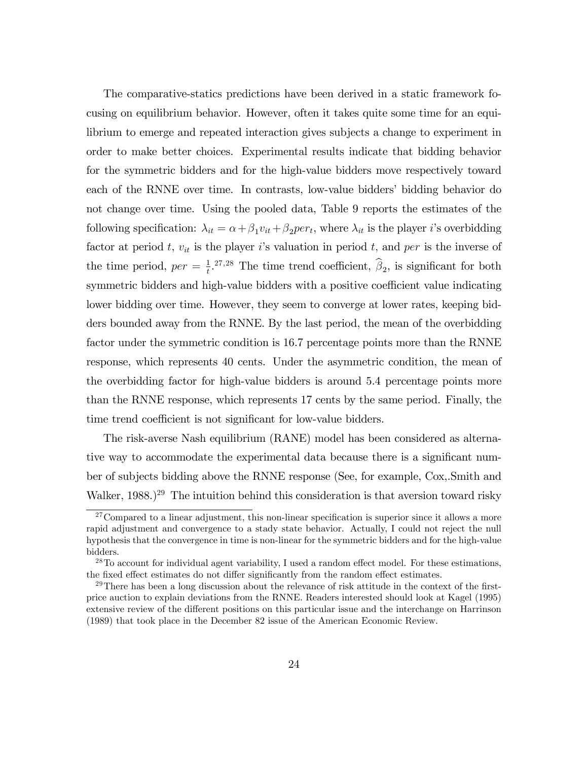The comparative-statics predictions have been derived in a static framework focusing on equilibrium behavior. However, often it takes quite some time for an equilibrium to emerge and repeated interaction gives subjects a change to experiment in order to make better choices. Experimental results indicate that bidding behavior for the symmetric bidders and for the high-value bidders move respectively toward each of the RNNE over time. In contrasts, low-value bidders' bidding behavior do not change over time. Using the pooled data, Table 9 reports the estimates of the following specification:  $\lambda_{it} = \alpha + \beta_1 v_{it} + \beta_2 per_t$ , where  $\lambda_{it}$  is the player *i*'s overbidding factor at period t,  $v_{it}$  is the player is valuation in period t, and per is the inverse of the time period,  $per = \frac{1}{t}$  $\frac{1}{t}$ <sup>27,28</sup> The time trend coefficient,  $\beta_2$ , is significant for both symmetric bidders and high-value bidders with a positive coefficient value indicating lower bidding over time. However, they seem to converge at lower rates, keeping bidders bounded away from the RNNE. By the last period, the mean of the overbidding factor under the symmetric condition is 16.7 percentage points more than the RNNE response, which represents 40 cents. Under the asymmetric condition, the mean of the overbidding factor for high-value bidders is around 5.4 percentage points more than the RNNE response, which represents 17 cents by the same period. Finally, the time trend coefficient is not significant for low-value bidders.

The risk-averse Nash equilibrium (RANE) model has been considered as alternative way to accommodate the experimental data because there is a significant number of subjects bidding above the RNNE response (See, for example, Cox,.Smith and Walker,  $1988.$ )<sup>29</sup> The intuition behind this consideration is that aversion toward risky

 $27$ Compared to a linear adjustment, this non-linear specification is superior since it allows a more rapid adjustment and convergence to a stady state behavior. Actually, I could not reject the null hypothesis that the convergence in time is non-linear for the symmetric bidders and for the high-value bidders.

 $^{28}$ To account for individual agent variability, I used a random effect model. For these estimations, the fixed effect estimates do not differ significantly from the random effect estimates.

 $^{29}$ There has been a long discussion about the relevance of risk attitude in the context of the firstprice auction to explain deviations from the RNNE. Readers interested should look at Kagel (1995) extensive review of the different positions on this particular issue and the interchange on Harrinson (1989) that took place in the December 82 issue of the American Economic Review.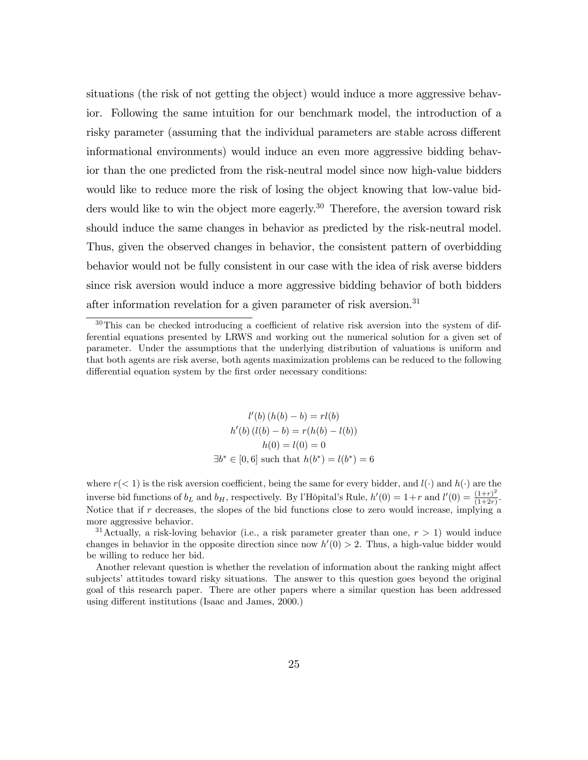situations (the risk of not getting the object) would induce a more aggressive behavior. Following the same intuition for our benchmark model, the introduction of a risky parameter (assuming that the individual parameters are stable across different informational environments) would induce an even more aggressive bidding behavior than the one predicted from the risk-neutral model since now high-value bidders would like to reduce more the risk of losing the object knowing that low-value bidders would like to win the object more eagerly.<sup>30</sup> Therefore, the aversion toward risk should induce the same changes in behavior as predicted by the risk-neutral model. Thus, given the observed changes in behavior, the consistent pattern of overbidding behavior would not be fully consistent in our case with the idea of risk averse bidders since risk aversion would induce a more aggressive bidding behavior of both bidders after information revelation for a given parameter of risk aversion.<sup>31</sup>

$$
l'(b) (h(b) - b) = rl(b)
$$

$$
h'(b) (l(b) - b) = r(h(b) - l(b))
$$

$$
h(0) = l(0) = 0
$$

$$
\exists b^* \in [0, 6] \text{ such that } h(b^*) = l(b^*) = 6
$$

where  $r(< 1)$  is the risk aversion coefficient, being the same for every bidder, and  $l(\cdot)$  and  $h(\cdot)$  are the inverse bid functions of  $b_L$  and  $b_H$ , respectively. By l'Hôpital's Rule,  $h'(0) = 1+r$  and  $l'(0) = \frac{(1+r)^2}{(1+2r)}$  $\frac{(1+r)}{(1+2r)}$ . Notice that if  $r$  decreases, the slopes of the bid functions close to zero would increase, implying a more aggressive behavior.

<sup>31</sup> Actually, a risk-loving behavior (i.e., a risk parameter greater than one,  $r > 1$ ) would induce changes in behavior in the opposite direction since now  $h'(0) > 2$ . Thus, a high-value bidder would be willing to reduce her bid:

Another relevant question is whether the revelation of information about the ranking might affect subjects' attitudes toward risky situations. The answer to this question goes beyond the original goal of this research paper. There are other papers where a similar question has been addressed using different institutions (Isaac and James, 2000.)

 $30$ This can be checked introducing a coefficient of relative risk aversion into the system of differential equations presented by LRWS and working out the numerical solution for a given set of parameter. Under the assumptions that the underlying distribution of valuations is uniform and that both agents are risk averse, both agents maximization problems can be reduced to the following differential equation system by the first order necessary conditions: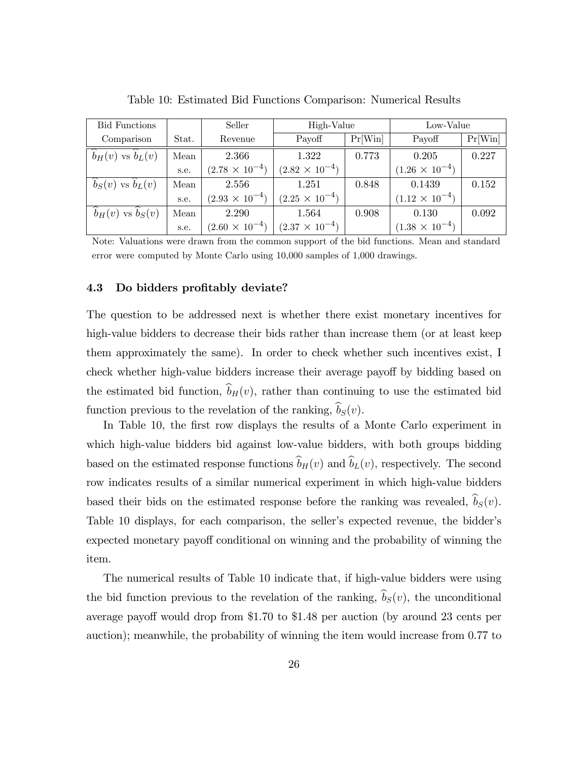| <b>Bid Functions</b>                     |       | Seller                  | High-Value              |         | Low-Value               |         |
|------------------------------------------|-------|-------------------------|-------------------------|---------|-------------------------|---------|
| Comparison                               | Stat. | Revenue                 | Payoff                  | Pr[Win] | Payoff                  | Pr[Win] |
| $\widehat{b}_H(v)$ vs $\widehat{b}_L(v)$ | Mean  | 2.366                   | 1.322                   | 0.773   | 0.205                   | 0.227   |
|                                          | s.e.  | $(2.78 \times 10^{-4})$ | $(2.82 \times 10^{-4})$ |         | $(1.26 \times 10^{-4})$ |         |
| $b_S(v)$ vs $b_L(v)$                     | Mean  | 2.556                   | 1.251                   | 0.848   | 0.1439                  | 0.152   |
|                                          | s.e.  | $(2.93 \times 10^{-4})$ | $(2.25 \times 10^{-4})$ |         | $(1.12 \times 10^{-4})$ |         |
| $b_H(v)$ vs $b_S(v)$                     | Mean  | 2.290                   | 1.564                   | 0.908   | 0.130                   | 0.092   |
|                                          | s.e.  | $(2.60 \times 10^{-4})$ | $(2.37 \times 10^{-4})$ |         | $(1.38 \times 10^{-4})$ |         |

Table 10: Estimated Bid Functions Comparison: Numerical Results

Note: Valuations were drawn from the common support of the bid functions. Mean and standard error were computed by Monte Carlo using 10,000 samples of 1,000 drawings.

#### 4.3 Do bidders profitably deviate?

The question to be addressed next is whether there exist monetary incentives for high-value bidders to decrease their bids rather than increase them (or at least keep them approximately the same). In order to check whether such incentives exist, I check whether high-value bidders increase their average payoff by bidding based on the estimated bid function,  $\hat{b}_H(v)$ , rather than continuing to use the estimated bid function previous to the revelation of the ranking,  $\widehat{b}_S(v)$ .

In Table 10, the first row displays the results of a Monte Carlo experiment in which high-value bidders bid against low-value bidders, with both groups bidding based on the estimated response functions  $\widehat{b}_H(v)$  and  $\widehat{b}_L(v)$ , respectively. The second row indicates results of a similar numerical experiment in which high-value bidders based their bids on the estimated response before the ranking was revealed,  $\hat{b}_S(v)$ . Table 10 displays, for each comparison, the seller's expected revenue, the bidder's expected monetary payoff conditional on winning and the probability of winning the item.

The numerical results of Table 10 indicate that, if high-value bidders were using the bid function previous to the revelation of the ranking,  $\hat{b}_S(v)$ , the unconditional average payoff would drop from \$1.70 to \$1.48 per auction (by around 23 cents per auction); meanwhile, the probability of winning the item would increase from 0.77 to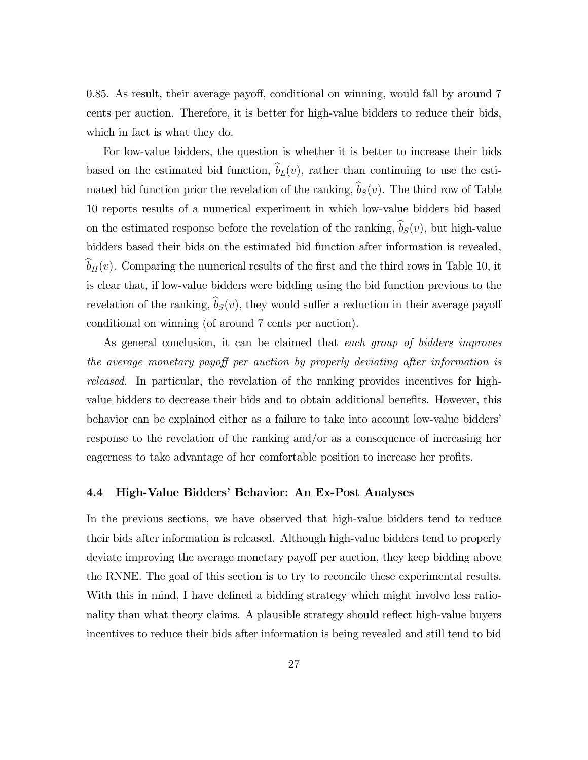0.85. As result, their average payoff, conditional on winning, would fall by around 7 cents per auction. Therefore, it is better for high-value bidders to reduce their bids, which in fact is what they do.

For low-value bidders, the question is whether it is better to increase their bids based on the estimated bid function,  $\hat{b}_L(v)$ , rather than continuing to use the estimated bid function prior the revelation of the ranking,  $\hat{b}_S(v)$ . The third row of Table 10 reports results of a numerical experiment in which low-value bidders bid based on the estimated response before the revelation of the ranking,  $\hat{b}_S(v)$ , but high-value bidders based their bids on the estimated bid function after information is revealed,  $\hat{b}_H(v)$ . Comparing the numerical results of the first and the third rows in Table 10, it is clear that, if low-value bidders were bidding using the bid function previous to the revelation of the ranking,  $\hat{b}_S(v)$ , they would suffer a reduction in their average payoff conditional on winning (of around 7 cents per auction).

As general conclusion, it can be claimed that each group of bidders improves the average monetary payoff per auction by properly deviating after information is released. In particular, the revelation of the ranking provides incentives for highvalue bidders to decrease their bids and to obtain additional benefits. However, this behavior can be explained either as a failure to take into account low-value biddersí response to the revelation of the ranking and/or as a consequence of increasing her eagerness to take advantage of her comfortable position to increase her profits.

#### 4.4 High-Value Bidders' Behavior: An Ex-Post Analyses

In the previous sections, we have observed that high-value bidders tend to reduce their bids after information is released. Although high-value bidders tend to properly deviate improving the average monetary payoff per auction, they keep bidding above the RNNE. The goal of this section is to try to reconcile these experimental results. With this in mind, I have defined a bidding strategy which might involve less rationality than what theory claims. A plausible strategy should reflect high-value buyers incentives to reduce their bids after information is being revealed and still tend to bid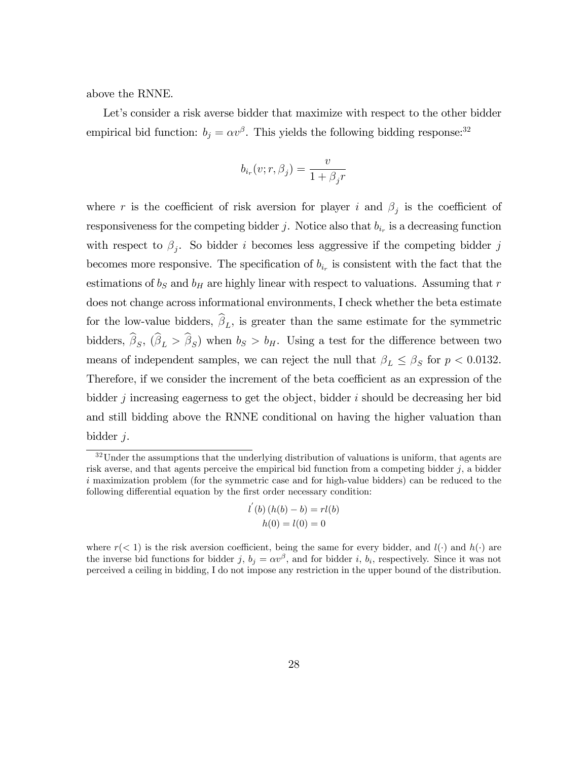above the RNNE.

Let's consider a risk averse bidder that maximize with respect to the other bidder empirical bid function:  $b_j = \alpha v^{\beta}$ . This yields the following bidding response:<sup>32</sup>

$$
b_{i_r}(v; r, \beta_j) = \frac{v}{1 + \beta_j r}
$$

where r is the coefficient of risk aversion for player i and  $\beta_j$  is the coefficient of responsiveness for the competing bidder j. Notice also that  $b_{i_r}$  is a decreasing function with respect to  $\beta_j$ . So bidder i becomes less aggressive if the competing bidder j becomes more responsive. The specification of  $b_{i_r}$  is consistent with the fact that the estimations of  $b_S$  and  $b_H$  are highly linear with respect to valuations. Assuming that r does not change across informational environments, I check whether the beta estimate for the low-value bidders,  $\beta_L$ , is greater than the same estimate for the symmetric bidders,  $\beta_S$ ,  $(\beta_L > \beta_S)$  when  $b_S > b_H$ . Using a test for the difference between two means of independent samples, we can reject the null that  $\beta_L \leq \beta_S$  for  $p < 0.0132$ . Therefore, if we consider the increment of the beta coefficient as an expression of the bidder  $j$  increasing eagerness to get the object, bidder  $i$  should be decreasing her bid and still bidding above the RNNE conditional on having the higher valuation than bidder j.

$$
l'(b) (h(b) - b) = rl(b)
$$

$$
h(0) = l(0) = 0
$$

<sup>&</sup>lt;sup>32</sup>Under the assumptions that the underlying distribution of valuations is uniform, that agents are risk averse, and that agents perceive the empirical bid function from a competing bidder  $j$ , a bidder i maximization problem (for the symmetric case and for high-value bidders) can be reduced to the following differential equation by the first order necessary condition:

where  $r(< 1)$  is the risk aversion coefficient, being the same for every bidder, and  $l(\cdot)$  and  $h(\cdot)$  are the inverse bid functions for bidder j,  $b_j = \alpha v^{\beta}$ , and for bidder i,  $b_i$ , respectively. Since it was not perceived a ceiling in bidding, I do not impose any restriction in the upper bound of the distribution.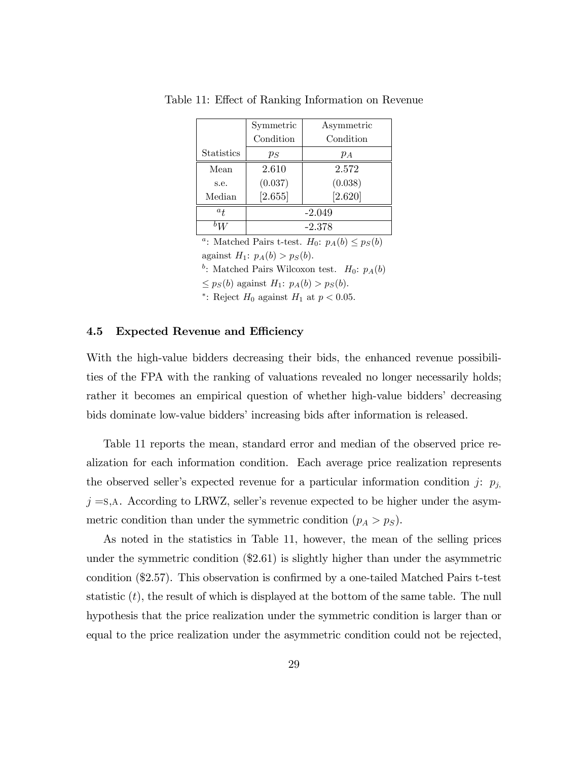|                   | Symmetric | Asymmetric |
|-------------------|-----------|------------|
|                   | Condition | Condition  |
| <b>Statistics</b> | $p_S$     | $p_A$      |
| Mean              | 2.610     | 2.572      |
| s.e.              | (0.037)   | (0.038)    |
| Median            | [2.655]   | [2.620]    |
| $a_{t}$           |           | $-2.049$   |
|                   |           | $-2.378$   |

Table 11: Effect of Ranking Information on Revenue

<sup>a</sup>: Matched Pairs t-test.  $H_0$ :  $p_A(b) \leq p_S(b)$ against  $H_1$ :  $p_A(b) > p_S(b)$ .

<sup>b</sup>: Matched Pairs Wilcoxon test.  $H_0$ :  $p_A(b)$ 

 $\leq p_S(b)$  against  $H_1: p_A(b) > p_S(b)$ .

\*: Reject  $H_0$  against  $H_1$  at  $p < 0.05$ .

#### 4.5 Expected Revenue and Efficiency

With the high-value bidders decreasing their bids, the enhanced revenue possibilities of the FPA with the ranking of valuations revealed no longer necessarily holds; rather it becomes an empirical question of whether high-value bidders' decreasing bids dominate low-value bidders' increasing bids after information is released.

Table 11 reports the mean, standard error and median of the observed price realization for each information condition. Each average price realization represents the observed seller's expected revenue for a particular information condition j:  $p_j$ ,  $j = s$ , A. According to LRWZ, seller's revenue expected to be higher under the asymmetric condition than under the symmetric condition  $(p_A > p_S)$ .

As noted in the statistics in Table 11, however, the mean of the selling prices under the symmetric condition (\$2.61) is slightly higher than under the asymmetric condition  $(\$2.57)$ . This observation is confirmed by a one-tailed Matched Pairs t-test statistic  $(t)$ , the result of which is displayed at the bottom of the same table. The null hypothesis that the price realization under the symmetric condition is larger than or equal to the price realization under the asymmetric condition could not be rejected,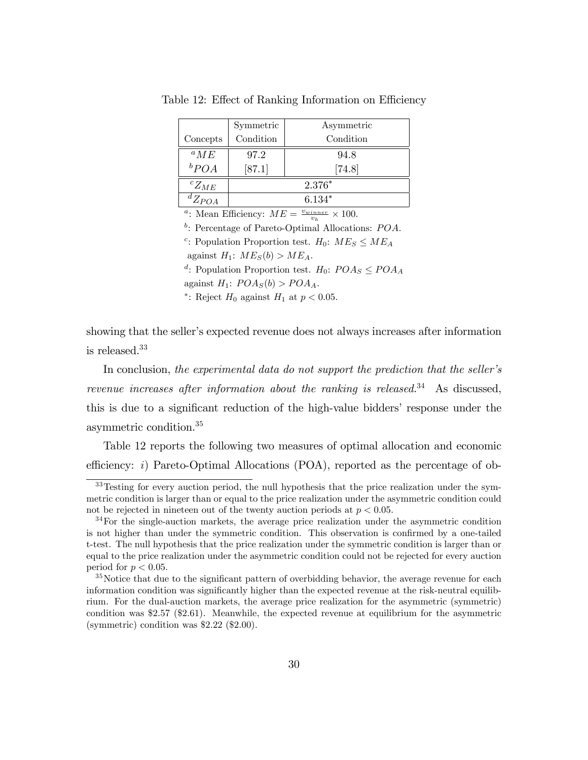|               | Symmetric | Asymmetric |  |
|---------------|-----------|------------|--|
| Concepts      | Condition | Condition  |  |
| $^{a}ME$      | 97.2      | 94.8       |  |
| $b_{POA}$     | [87.1]    | $[74.8]$   |  |
| ${}^cZ_{ME}$  | $2.376*$  |            |  |
| ${}^dZ_{POA}$ | $6.134*$  |            |  |

Table 12: Effect of Ranking Information on Efficiency

<sup>a</sup>: Mean Efficiency:  $ME = \frac{v_{winner}}{v_h} \times 100$ .

 $b$ : Percentage of Pareto-Optimal Allocations:  $POA$ .

<sup>c</sup>: Population Proportion test.  $H_0$ :  $ME_S \leq ME_A$ 

against  $H_1$ :  $ME_S(b) > ME_A$ .

<sup>d</sup>: Population Proportion test.  $H_0$ :  $POAs \le POA_A$ 

against  $H_1$ :  $POA_S(b) > POA_A$ .

\*: Reject  $H_0$  against  $H_1$  at  $p < 0.05$ .

showing that the seller's expected revenue does not always increases after information is released.<sup>33</sup>

In conclusion, the experimental data do not support the prediction that the seller's revenue increases after information about the ranking is released.<sup>34</sup> As discussed, this is due to a significant reduction of the high-value bidders' response under the asymmetric condition.<sup>35</sup>

Table 12 reports the following two measures of optimal allocation and economic efficiency: i) Pareto-Optimal Allocations (POA), reported as the percentage of ob-

<sup>&</sup>lt;sup>33</sup>Testing for every auction period, the null hypothesis that the price realization under the symmetric condition is larger than or equal to the price realization under the asymmetric condition could not be rejected in nineteen out of the twenty auction periods at  $p < 0.05$ .

 $34$ For the single-auction markets, the average price realization under the asymmetric condition is not higher than under the symmetric condition. This observation is confirmed by a one-tailed t-test. The null hypothesis that the price realization under the symmetric condition is larger than or equal to the price realization under the asymmetric condition could not be rejected for every auction period for  $p < 0.05$ .

<sup>&</sup>lt;sup>35</sup>Notice that due to the significant pattern of overbidding behavior, the average revenue for each information condition was significantly higher than the expected revenue at the risk-neutral equilibrium. For the dual-auction markets, the average price realization for the asymmetric (symmetric) condition was \$2.57 (\$2.61). Meanwhile, the expected revenue at equilibrium for the asymmetric (symmetric) condition was \$2.22 (\$2.00).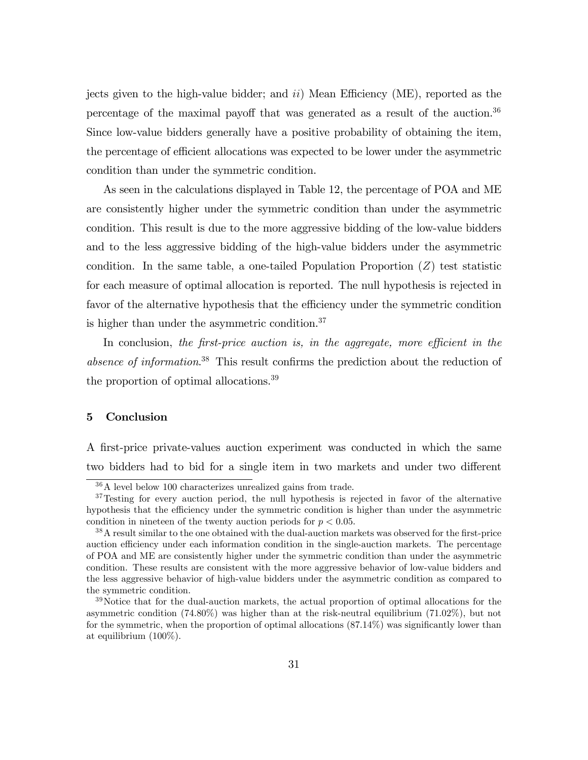jects given to the high-value bidder; and  $ii$ ) Mean Efficiency (ME), reported as the percentage of the maximal payoff that was generated as a result of the auction.<sup>36</sup> Since low-value bidders generally have a positive probability of obtaining the item, the percentage of efficient allocations was expected to be lower under the asymmetric condition than under the symmetric condition.

As seen in the calculations displayed in Table 12, the percentage of POA and ME are consistently higher under the symmetric condition than under the asymmetric condition. This result is due to the more aggressive bidding of the low-value bidders and to the less aggressive bidding of the high-value bidders under the asymmetric condition. In the same table, a one-tailed Population Proportion  $(Z)$  test statistic for each measure of optimal allocation is reported. The null hypothesis is rejected in favor of the alternative hypothesis that the efficiency under the symmetric condition is higher than under the asymmetric condition.<sup>37</sup>

In conclusion, the first-price auction is, in the aggregate, more efficient in the absence of information.<sup>38</sup> This result confirms the prediction about the reduction of the proportion of optimal allocations.<sup>39</sup>

## 5 Conclusion

A Örst-price private-values auction experiment was conducted in which the same two bidders had to bid for a single item in two markets and under two different

<sup>36</sup>A level below 100 characterizes unrealized gains from trade.

<sup>&</sup>lt;sup>37</sup>Testing for every auction period, the null hypothesis is rejected in favor of the alternative hypothesis that the efficiency under the symmetric condition is higher than under the asymmetric condition in nineteen of the twenty auction periods for  $p < 0.05$ .

 $38$ A result similar to the one obtained with the dual-auction markets was observed for the first-price auction efficiency under each information condition in the single-auction markets. The percentage of POA and ME are consistently higher under the symmetric condition than under the asymmetric condition. These results are consistent with the more aggressive behavior of low-value bidders and the less aggressive behavior of high-value bidders under the asymmetric condition as compared to the symmetric condition.

<sup>&</sup>lt;sup>39</sup>Notice that for the dual-auction markets, the actual proportion of optimal allocations for the asymmetric condition (74.80%) was higher than at the risk-neutral equilibrium (71.02%), but not for the symmetric, when the proportion of optimal allocations  $(87.14\%)$  was significantly lower than at equilibrium (100%).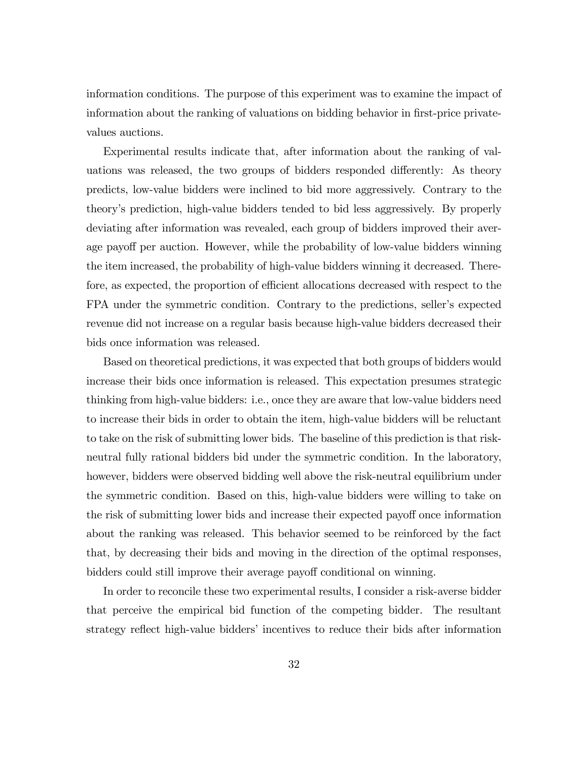information conditions. The purpose of this experiment was to examine the impact of information about the ranking of valuations on bidding behavior in first-price privatevalues auctions.

Experimental results indicate that, after information about the ranking of valuations was released, the two groups of bidders responded differently: As theory predicts, low-value bidders were inclined to bid more aggressively. Contrary to the theoryís prediction, high-value bidders tended to bid less aggressively. By properly deviating after information was revealed, each group of bidders improved their average payoff per auction. However, while the probability of low-value bidders winning the item increased, the probability of high-value bidders winning it decreased. Therefore, as expected, the proportion of efficient allocations decreased with respect to the FPA under the symmetric condition. Contrary to the predictions, seller's expected revenue did not increase on a regular basis because high-value bidders decreased their bids once information was released.

Based on theoretical predictions, it was expected that both groups of bidders would increase their bids once information is released. This expectation presumes strategic thinking from high-value bidders: i.e., once they are aware that low-value bidders need to increase their bids in order to obtain the item, high-value bidders will be reluctant to take on the risk of submitting lower bids. The baseline of this prediction is that riskneutral fully rational bidders bid under the symmetric condition. In the laboratory, however, bidders were observed bidding well above the risk-neutral equilibrium under the symmetric condition. Based on this, high-value bidders were willing to take on the risk of submitting lower bids and increase their expected payoff once information about the ranking was released. This behavior seemed to be reinforced by the fact that, by decreasing their bids and moving in the direction of the optimal responses, bidders could still improve their average payoff conditional on winning.

In order to reconcile these two experimental results, I consider a risk-averse bidder that perceive the empirical bid function of the competing bidder. The resultant strategy reflect high-value bidders' incentives to reduce their bids after information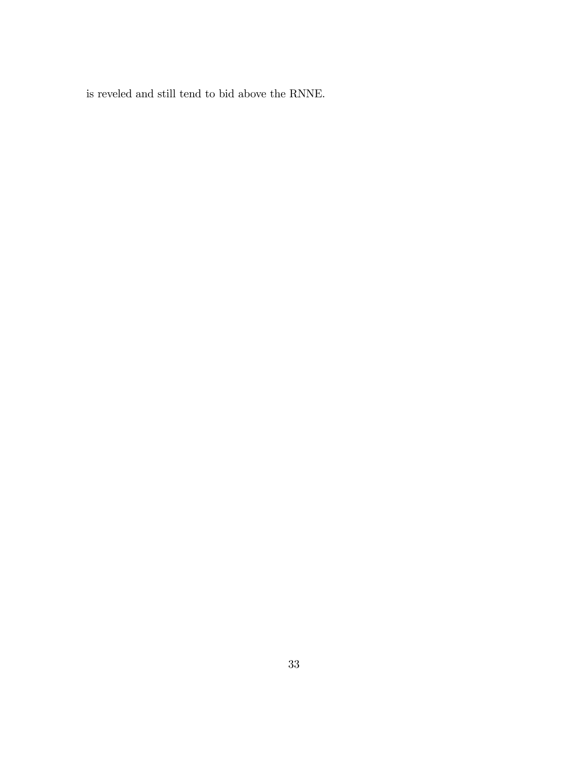is reveled and still tend to bid above the RNNE.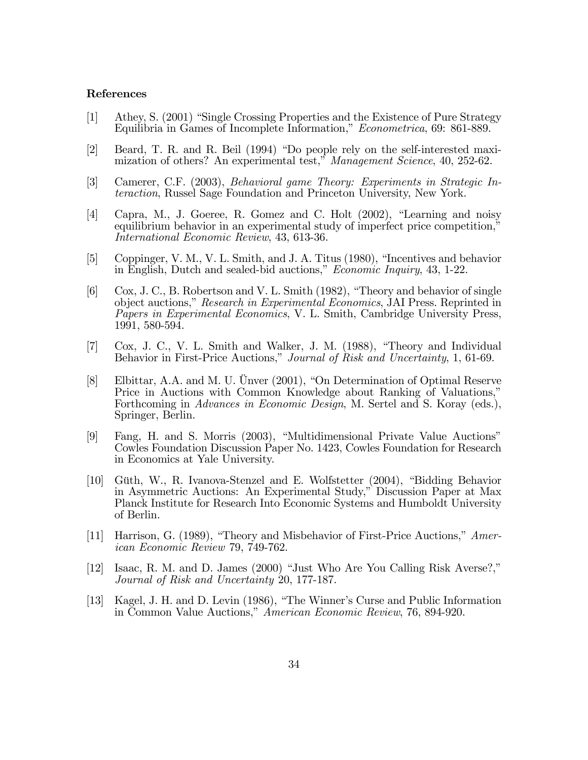## References

- [1] Athey, S. (2001) "Single Crossing Properties and the Existence of Pure Strategy Equilibria in Games of Incomplete Information," Econometrica, 69: 861-889.
- [2] Beard, T. R. and R. Beil (1994) "Do people rely on the self-interested maximization of others? An experimental test," Management Science, 40, 252-62.
- [3] Camerer, C.F. (2003), Behavioral game Theory: Experiments in Strategic Interaction, Russel Sage Foundation and Princeton University, New York.
- [4] Capra, M., J. Goeree, R. Gomez and C. Holt  $(2002)$ , "Learning and noisy equilibrium behavior in an experimental study of imperfect price competition," International Economic Review, 43, 613-36.
- [5] Coppinger, V. M., V. L. Smith, and J. A. Titus  $(1980)$ , "Incentives and behavior in English, Dutch and sealed-bid auctions," *Economic Inquiry*, 43, 1-22.
- $[6]$  Cox, J. C., B. Robertson and V. L. Smith (1982), "Theory and behavior of single object auctions," Research in Experimental Economics, JAI Press. Reprinted in Papers in Experimental Economics, V. L. Smith, Cambridge University Press, 1991, 580-594.
- $[7]$  Cox, J. C., V. L. Smith and Walker, J. M.  $(1988)$ , "Theory and Individual Behavior in First-Price Auctions," Journal of Risk and Uncertainty, 1, 61-69.
- [8] Elbittar, A.A. and M. U. Ünver  $(2001)$ , "On Determination of Optimal Reserve Price in Auctions with Common Knowledge about Ranking of Valuations," Forthcoming in Advances in Economic Design, M. Sertel and S. Koray (eds.), Springer, Berlin.
- [9] Fang, H. and S. Morris (2003), "Multidimensional Private Value Auctions" Cowles Foundation Discussion Paper No. 1423, Cowles Foundation for Research in Economics at Yale University.
- [10] Güth, W., R. Ivanova-Stenzel and E. Wolfstetter (2004), "Bidding Behavior in Asymmetric Auctions: An Experimental Study," Discussion Paper at Max Planck Institute for Research Into Economic Systems and Humboldt University of Berlin.
- [11] Harrison, G. (1989), "Theory and Misbehavior of First-Price Auctions,"  $Amer$ ican Economic Review 79, 749-762.
- [12] Isaac, R. M. and D. James  $(2000)$  "Just Who Are You Calling Risk Averse?," Journal of Risk and Uncertainty 20, 177-187.
- [13] Kagel, J. H. and D. Levin (1986), "The Winner's Curse and Public Information in Common Value Auctions," American Economic Review, 76, 894-920.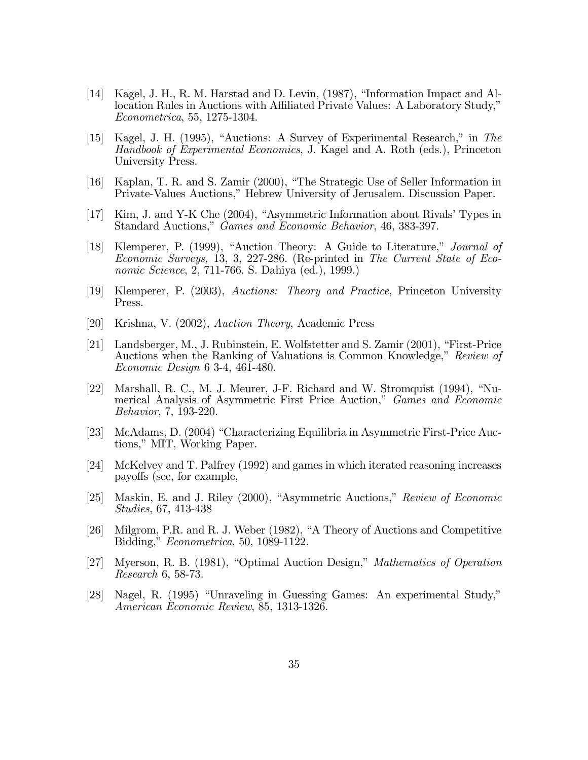- [14] Kagel, J. H., R. M. Harstad and D. Levin, (1987), "Information Impact and Allocation Rules in Auctions with Affiliated Private Values: A Laboratory Study," Econometrica, 55, 1275-1304.
- [15] Kagel, J. H. (1995), "Auctions: A Survey of Experimental Research," in The Handbook of Experimental Economics, J. Kagel and A. Roth (eds.), Princeton University Press.
- [16] Kaplan, T. R. and S. Zamir (2000), "The Strategic Use of Seller Information in Private-Values Auctions," Hebrew University of Jerusalem. Discussion Paper.
- $[17]$  Kim, J. and Y-K Che  $(2004)$ , "Asymmetric Information about Rivals' Types in Standard Auctions," Games and Economic Behavior, 46, 383-397.
- [18] Klemperer, P. (1999), "Auction Theory: A Guide to Literature," Journal of Economic Surveys, 13, 3, 227-286. (Re-printed in The Current State of Economic Science, 2, 711-766. S. Dahiya (ed.), 1999.)
- [19] Klemperer, P. (2003), Auctions: Theory and Practice, Princeton University Press.
- [20] Krishna, V. (2002), Auction Theory, Academic Press
- [21] Landsberger, M., J. Rubinstein, E. Wolfstetter and S. Zamir  $(2001)$ , "First-Price" Auctions when the Ranking of Valuations is Common Knowledge," Review of Economic Design 6 3-4, 461-480.
- [22] Marshall, R. C., M. J. Meurer, J-F. Richard and W. Stromquist  $(1994)$ , "Numerical Analysis of Asymmetric First Price Auction," Games and Economic Behavior, 7, 193-220.
- [23] McAdams, D. (2004) "Characterizing Equilibria in Asymmetric First-Price Auctions," MIT, Working Paper.
- [24] McKelvey and T. Palfrey (1992) and games in which iterated reasoning increases payo§s (see, for example,
- [25] Maskin, E. and J. Riley  $(2000)$ , "Asymmetric Auctions," Review of Economic Studies, 67, 413-438
- [26] Milgrom, P.R. and R. J. Weber (1982), "A Theory of Auctions and Competitive Bidding," *Econometrica*, 50, 1089-1122.
- [27] Myerson, R. B. (1981), "Optimal Auction Design," *Mathematics of Operation* Research 6, 58-73.
- [28] Nagel, R. (1995) "Unraveling in Guessing Games: An experimental Study," American Economic Review, 85, 1313-1326.